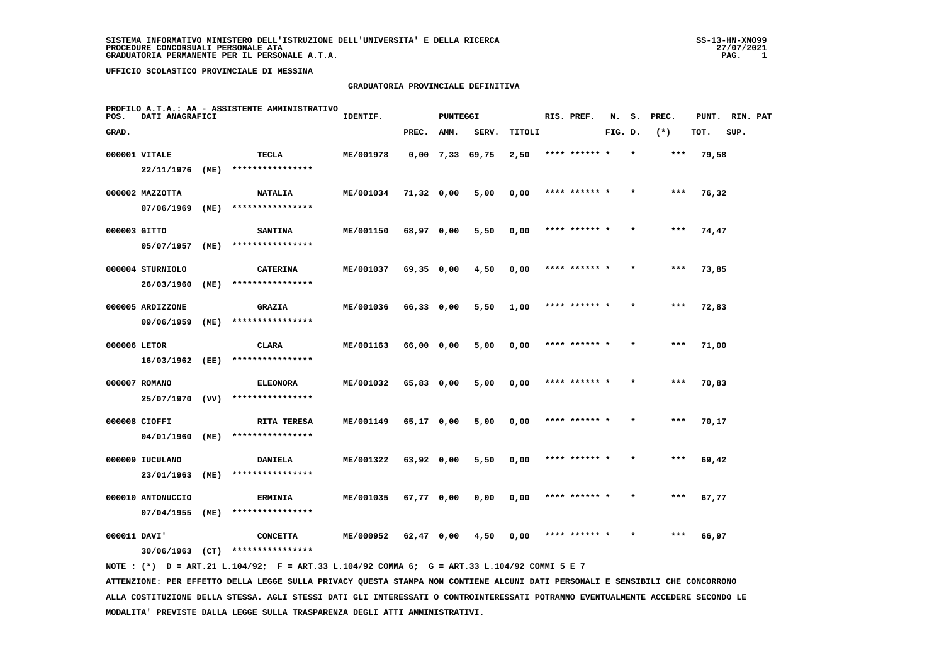#### **GRADUATORIA PROVINCIALE DEFINITIVA**

| POS.         | DATI ANAGRAFICI   |      | PROFILO A.T.A.: AA - ASSISTENTE AMMINISTRATIVO | IDENTIF.  |              | PUNTEGGI |                   |        | RIS. PREF.    | N.      | s.      | PREC. | PUNT. | RIN. PAT |  |
|--------------|-------------------|------|------------------------------------------------|-----------|--------------|----------|-------------------|--------|---------------|---------|---------|-------|-------|----------|--|
| GRAD.        |                   |      |                                                |           | PREC.        | AMM.     | SERV.             | TITOLI |               | FIG. D. |         | $(*)$ | TOT.  | SUP.     |  |
|              | 000001 VITALE     |      | TECLA                                          | ME/001978 |              |          | $0,00$ 7,33 69,75 | 2,50   | **** ****** * |         | $\star$ | ***   | 79,58 |          |  |
|              | 22/11/1976 (ME)   |      | ****************                               |           |              |          |                   |        |               |         |         |       |       |          |  |
|              | 000002 MAZZOTTA   |      | <b>NATALIA</b>                                 | ME/001034 | 71,32 0,00   |          | 5,00              | 0,00   | **** ****** * |         | $\star$ | $***$ | 76,32 |          |  |
|              | 07/06/1969        | (ME) | ****************                               |           |              |          |                   |        |               |         |         |       |       |          |  |
| 000003 GITTO |                   |      | <b>SANTINA</b>                                 | ME/001150 | 68,97 0,00   |          | 5,50              | 0,00   | **** ****** * |         |         | ***   | 74,47 |          |  |
|              | 05/07/1957        | (ME) | ****************                               |           |              |          |                   |        |               |         |         |       |       |          |  |
|              | 000004 STURNIOLO  |      | <b>CATERINA</b>                                | ME/001037 | 69,35 0,00   |          | 4,50              | 0,00   | **** ****** * |         |         | $***$ | 73,85 |          |  |
|              | 26/03/1960        | (ME) | ****************                               |           |              |          |                   |        |               |         |         |       |       |          |  |
|              | 000005 ARDIZZONE  |      | <b>GRAZIA</b>                                  | ME/001036 | $66,33$ 0,00 |          | 5,50              | 1,00   | **** ****** * |         | $\star$ | $***$ | 72,83 |          |  |
|              | 09/06/1959        | (ME) | ****************                               |           |              |          |                   |        |               |         |         |       |       |          |  |
| 000006 LETOR |                   |      | <b>CLARA</b>                                   | ME/001163 | 66,00 0,00   |          | 5,00              | 0,00   | **** ****** * |         |         | $***$ | 71,00 |          |  |
|              | 16/03/1962        | (EE) | ****************                               |           |              |          |                   |        |               |         |         |       |       |          |  |
|              | 000007 ROMANO     |      | <b>ELEONORA</b>                                | ME/001032 | 65,83 0,00   |          | 5,00              | 0,00   | **** ****** * |         |         | ***   | 70,83 |          |  |
|              | 25/07/1970 (VV)   |      | ****************                               |           |              |          |                   |        |               |         |         |       |       |          |  |
|              | 000008 CIOFFI     |      | RITA TERESA                                    | ME/001149 | 65,17 0,00   |          | 5,00              | 0,00   | **** ****** * |         |         | $***$ | 70,17 |          |  |
|              | 04/01/1960 (ME)   |      | ****************                               |           |              |          |                   |        |               |         |         |       |       |          |  |
|              | 000009 IUCULANO   |      | <b>DANIELA</b>                                 | ME/001322 | 63,92 0,00   |          | 5,50              | 0,00   | **** ****** * |         |         | ***   | 69,42 |          |  |
|              | 23/01/1963        | (ME) | ****************                               |           |              |          |                   |        |               |         |         |       |       |          |  |
|              | 000010 ANTONUCCIO |      | <b>ERMINIA</b>                                 | ME/001035 | 67,77 0,00   |          | 0,00              | 0,00   | **** ****** * |         |         | ***   | 67,77 |          |  |
|              | 07/04/1955        | (ME) | ****************                               |           |              |          |                   |        |               |         |         |       |       |          |  |
| 000011 DAVI' |                   |      | <b>CONCETTA</b>                                | ME/000952 | 62,47 0,00   |          | 4,50              | 0,00   | **** ******   |         |         | ***   | 66,97 |          |  |
|              |                   |      | 30/06/1963 (CT) ****************               |           |              |          |                   |        |               |         |         |       |       |          |  |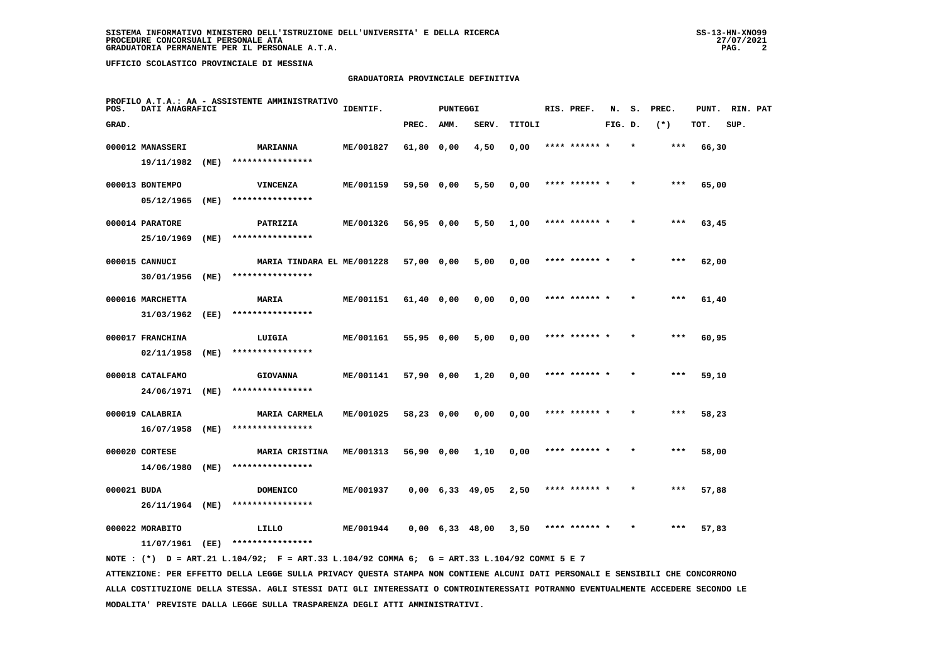#### **GRADUATORIA PROVINCIALE DEFINITIVA**

| POS.        | DATI ANAGRAFICI  |      | PROFILO A.T.A.: AA - ASSISTENTE AMMINISTRATIVO | IDENTIF.  |              | <b>PUNTEGGI</b>               |       |        | RIS. PREF.    | N.      | s.      | PREC. | PUNT. | RIN. PAT |  |
|-------------|------------------|------|------------------------------------------------|-----------|--------------|-------------------------------|-------|--------|---------------|---------|---------|-------|-------|----------|--|
| GRAD.       |                  |      |                                                |           | PREC.        | AMM.                          | SERV. | TITOLI |               | FIG. D. |         | $(*)$ | TOT.  | SUP.     |  |
|             | 000012 MANASSERI |      | <b>MARIANNA</b>                                | ME/001827 | 61,80 0,00   |                               | 4,50  | 0,00   | **** ****** * |         |         | $***$ | 66,30 |          |  |
|             | 19/11/1982       | (ME) | ****************                               |           |              |                               |       |        |               |         |         |       |       |          |  |
|             | 000013 BONTEMPO  |      | <b>VINCENZA</b>                                | ME/001159 | 59,50 0,00   |                               | 5,50  | 0,00   | **** ****** * |         |         | ***   | 65,00 |          |  |
|             | 05/12/1965       | (ME) | ****************                               |           |              |                               |       |        |               |         |         |       |       |          |  |
|             | 000014 PARATORE  |      | PATRIZIA                                       | ME/001326 | 56,95 0,00   |                               | 5,50  | 1,00   | **** ****** * |         |         | $***$ | 63,45 |          |  |
|             | 25/10/1969       | (ME) | ****************                               |           |              |                               |       |        |               |         |         |       |       |          |  |
|             | 000015 CANNUCI   |      | MARIA TINDARA EL ME/001228                     |           | 57,00 0,00   |                               | 5,00  | 0,00   | **** ****** * |         |         | ***   | 62,00 |          |  |
|             | 30/01/1956       | (ME) | ****************                               |           |              |                               |       |        |               |         |         |       |       |          |  |
|             | 000016 MARCHETTA |      | MARIA                                          | ME/001151 | $61,40$ 0,00 |                               | 0,00  | 0,00   | **** ****** * |         |         | ***   | 61,40 |          |  |
|             | 31/03/1962       | (EE) | ****************                               |           |              |                               |       |        |               |         |         |       |       |          |  |
|             | 000017 FRANCHINA |      | LUIGIA                                         | ME/001161 | 55,95 0,00   |                               | 5,00  | 0,00   | **** ****** * |         |         | $***$ | 60,95 |          |  |
|             | 02/11/1958       | (ME) | ****************                               |           |              |                               |       |        |               |         |         |       |       |          |  |
|             | 000018 CATALFAMO |      | <b>GIOVANNA</b>                                | ME/001141 | 57,90 0,00   |                               | 1,20  | 0,00   | **** ****** * |         |         | $***$ | 59,10 |          |  |
|             | 24/06/1971       | (ME) | ****************                               |           |              |                               |       |        |               |         |         |       |       |          |  |
|             | 000019 CALABRIA  |      | <b>MARIA CARMELA</b>                           | ME/001025 | 58,23 0,00   |                               | 0,00  | 0,00   |               |         |         | ***   | 58,23 |          |  |
|             | 16/07/1958       | (ME) | ****************                               |           |              |                               |       |        |               |         |         |       |       |          |  |
|             | 000020 CORTESE   |      | MARIA CRISTINA                                 | ME/001313 | 56,90 0,00   |                               | 1,10  | 0,00   | **** ****** * |         |         | ***   | 58,00 |          |  |
|             | 14/06/1980       | (ME) | ****************                               |           |              |                               |       |        |               |         |         |       |       |          |  |
| 000021 BUDA |                  |      | <b>DOMENICO</b>                                | ME/001937 |              | $0,00 \quad 6,33 \quad 49,05$ |       | 2,50   | **** ****** * |         | $\star$ | $***$ | 57,88 |          |  |
|             | 26/11/1964       | (ME) | ****************                               |           |              |                               |       |        |               |         |         |       |       |          |  |
|             | 000022 MORABITO  |      | LILLO                                          | ME/001944 |              | $0,00 \quad 6,33 \quad 48,00$ |       | 3,50   | **** ****** * |         |         | ***   | 57,83 |          |  |
|             | 11/07/1961       | (EE) | ****************                               |           |              |                               |       |        |               |         |         |       |       |          |  |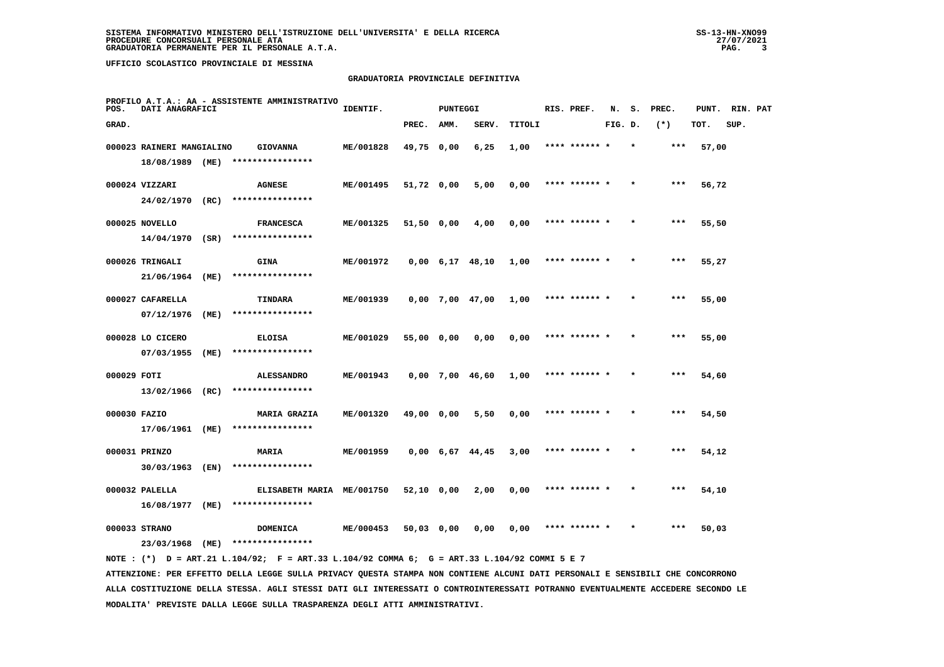#### **GRADUATORIA PROVINCIALE DEFINITIVA**

| POS.         | DATI ANAGRAFICI           |      | PROFILO A.T.A.: AA - ASSISTENTE AMMINISTRATIVO | IDENTIF.  |              | <b>PUNTEGGI</b> |                               |        | RIS. PREF.    | N.      | s.      | PREC. | PUNT. | RIN. PAT |  |
|--------------|---------------------------|------|------------------------------------------------|-----------|--------------|-----------------|-------------------------------|--------|---------------|---------|---------|-------|-------|----------|--|
| GRAD.        |                           |      |                                                |           | PREC.        | AMM.            | SERV.                         | TITOLI |               | FIG. D. |         | $(*)$ | TOT.  | SUP.     |  |
|              | 000023 RAINERI MANGIALINO |      | <b>GIOVANNA</b>                                | ME/001828 | 49,75 0,00   |                 | 6,25                          | 1,00   | **** ****** * |         | $\star$ | ***   | 57,00 |          |  |
|              | 18/08/1989 (ME)           |      | ****************                               |           |              |                 |                               |        |               |         |         |       |       |          |  |
|              | 000024 VIZZARI            |      | <b>AGNESE</b>                                  | ME/001495 | 51,72 0,00   |                 | 5,00                          | 0,00   | **** ****** * |         |         | ***   | 56,72 |          |  |
|              | 24/02/1970 (RC)           |      | ****************                               |           |              |                 |                               |        |               |         |         |       |       |          |  |
|              | 000025 NOVELLO            |      | <b>FRANCESCA</b>                               | ME/001325 | 51,50 0,00   |                 | 4,00                          | 0,00   | **** ****** * |         |         | $***$ | 55,50 |          |  |
|              | $14/04/1970$ (SR)         |      | ****************                               |           |              |                 |                               |        |               |         |         |       |       |          |  |
|              | 000026 TRINGALI           |      | <b>GINA</b>                                    | ME/001972 |              |                 | $0,00 \quad 6,17 \quad 48,10$ | 1,00   | **** ****** * |         |         | ***   | 55,27 |          |  |
|              | 21/06/1964                | (ME) | ****************                               |           |              |                 |                               |        |               |         |         |       |       |          |  |
|              | 000027 CAFARELLA          |      | TINDARA                                        | ME/001939 |              |                 | $0,00$ 7,00 47,00             | 1,00   | **** ****** * |         |         | $***$ | 55,00 |          |  |
|              | 07/12/1976                | (ME) | ****************                               |           |              |                 |                               |        |               |         |         |       |       |          |  |
|              | 000028 LO CICERO          |      | <b>ELOISA</b>                                  | ME/001029 | 55,00 0,00   |                 | 0,00                          | 0,00   | **** ****** * |         |         | ***   | 55,00 |          |  |
|              | 07/03/1955                | (ME) | ****************                               |           |              |                 |                               |        |               |         |         |       |       |          |  |
| 000029 FOTI  |                           |      | <b>ALESSANDRO</b>                              | ME/001943 |              |                 | 0,00 7,00 46,60               | 1,00   | **** ****** * |         | $\star$ | ***   | 54,60 |          |  |
|              | 13/02/1966 (RC)           |      | ****************                               |           |              |                 |                               |        |               |         |         |       |       |          |  |
| 000030 FAZIO |                           |      | <b>MARIA GRAZIA</b>                            | ME/001320 | 49,00 0,00   |                 | 5,50                          | 0,00   | **** ******   |         |         | ***   | 54,50 |          |  |
|              | 17/06/1961 (ME)           |      | ****************                               |           |              |                 |                               |        |               |         |         |       |       |          |  |
|              | 000031 PRINZO             |      | <b>MARIA</b>                                   | ME/001959 |              |                 | $0,00 \quad 6,67 \quad 44,45$ | 3,00   | **** ****** * |         |         | $***$ | 54,12 |          |  |
|              | 30/03/1963                | (EN) | ****************                               |           |              |                 |                               |        |               |         |         |       |       |          |  |
|              | 000032 PALELLA            |      | ELISABETH MARIA ME/001750                      |           | $52,10$ 0,00 |                 | 2,00                          | 0,00   | **** ****** * |         |         | $***$ | 54,10 |          |  |
|              | 16/08/1977                | (ME) | ****************                               |           |              |                 |                               |        |               |         |         |       |       |          |  |
|              | 000033 STRANO             |      | <b>DOMENICA</b>                                | ME/000453 | 50,03 0,00   |                 | 0,00                          | 0,00   | **** ****** * |         |         | ***   | 50,03 |          |  |
|              | 23/03/1968                | (ME) | ****************                               |           |              |                 |                               |        |               |         |         |       |       |          |  |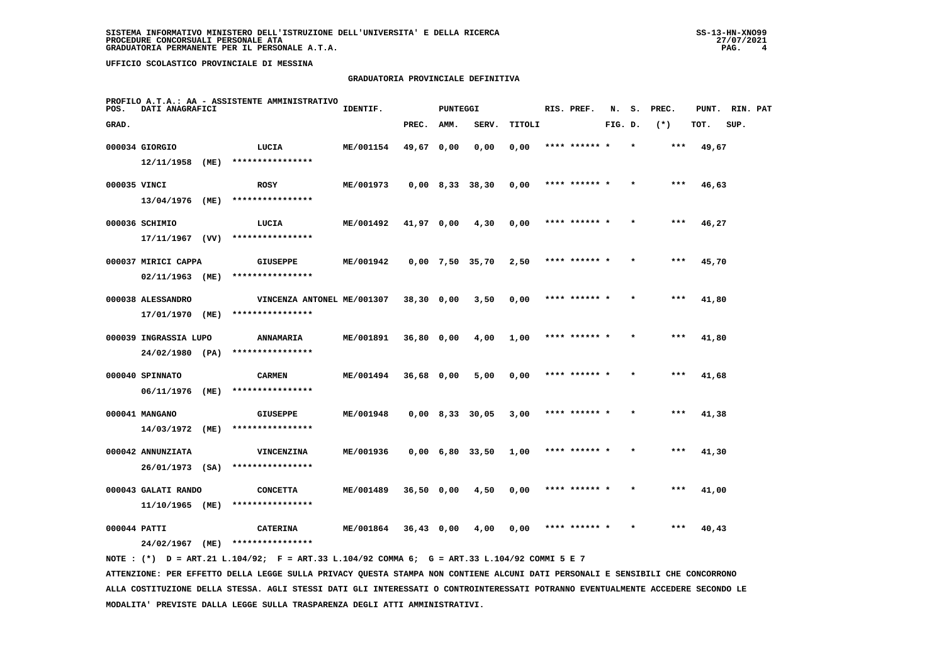# **GRADUATORIA PROVINCIALE DEFINITIVA**

| POS.  | DATI ANAGRAFICI                     |      | PROFILO A.T.A.: AA - ASSISTENTE AMMINISTRATIVO | IDENTIF.  |              | <b>PUNTEGGI</b> |                   |        | RIS. PREF.    | N.      | s. | PREC.  | PUNT. | RIN. PAT |  |
|-------|-------------------------------------|------|------------------------------------------------|-----------|--------------|-----------------|-------------------|--------|---------------|---------|----|--------|-------|----------|--|
| GRAD. |                                     |      |                                                |           | PREC.        | AMM.            | SERV.             | TITOLI |               | FIG. D. |    | $(* )$ | TOT.  | SUP.     |  |
|       | 000034 GIORGIO<br>$12/11/1958$ (ME) |      | LUCIA<br>****************                      | ME/001154 | 49,67 0,00   |                 | 0,00              | 0,00   |               |         |    | ***    | 49,67 |          |  |
|       | 000035 VINCI                        |      | <b>ROSY</b>                                    | ME/001973 |              |                 | $0,00$ 8,33 38,30 | 0,00   | **** ****** * |         |    | $***$  | 46,63 |          |  |
|       | 13/04/1976                          | (ME) | ****************                               |           |              |                 |                   |        |               |         |    |        |       |          |  |
|       | 000036 SCHIMIO                      |      | LUCIA                                          | ME/001492 | 41,97 0,00   |                 | 4,30              | 0,00   | **** ****** * |         |    | ***    | 46,27 |          |  |
|       | 17/11/1967                          | (VV) | ****************                               |           |              |                 |                   |        |               |         |    |        |       |          |  |
|       | 000037 MIRICI CAPPA                 |      | GIUSEPPE                                       | ME/001942 |              |                 | $0,00$ 7,50 35,70 | 2,50   | **** ****** * |         |    | $***$  | 45,70 |          |  |
|       | 02/11/1963                          | (ME) | ****************                               |           |              |                 |                   |        |               |         |    |        |       |          |  |
|       | 000038 ALESSANDRO                   |      | VINCENZA ANTONEL ME/001307                     |           | 38,30 0,00   |                 | 3,50              | 0,00   | **** ****** * |         |    | ***    | 41,80 |          |  |
|       | 17/01/1970 (ME)                     |      | ****************                               |           |              |                 |                   |        |               |         |    |        |       |          |  |
|       | 000039 INGRASSIA LUPO               |      | ANNAMARIA<br>****************                  | ME/001891 | 36,80 0,00   |                 | 4,00              | 1,00   | **** ****** * |         |    | ***    | 41,80 |          |  |
|       | 24/02/1980 (PA)                     |      |                                                |           |              |                 |                   |        |               |         |    |        |       |          |  |
|       | 000040 SPINNATO<br>06/11/1976       | (ME) | <b>CARMEN</b><br>****************              | ME/001494 | 36,68 0,00   |                 | 5,00              | 0,00   | **** ******   |         |    | $***$  | 41,68 |          |  |
|       |                                     |      |                                                |           |              |                 |                   |        |               |         |    |        |       |          |  |
|       | 000041 MANGANO<br>14/03/1972        | (ME) | <b>GIUSEPPE</b><br>****************            | ME/001948 |              |                 | $0,00$ 8,33 30,05 | 3,00   | **** ******   |         |    | ***    | 41,38 |          |  |
|       | 000042 ANNUNZIATA                   |      | VINCENZINA                                     | ME/001936 |              |                 | $0,00$ 6,80 33,50 | 1,00   | **** ****** * |         |    | $***$  | 41,30 |          |  |
|       | 26/01/1973 (SA)                     |      | ****************                               |           |              |                 |                   |        |               |         |    |        |       |          |  |
|       | 000043 GALATI RANDO                 |      | <b>CONCETTA</b>                                | ME/001489 | 36,50 0,00   |                 | 4,50              | 0,00   | **** ****** * |         |    | $***$  | 41,00 |          |  |
|       | 11/10/1965 (ME)                     |      | ****************                               |           |              |                 |                   |        |               |         |    |        |       |          |  |
|       | 000044 PATTI                        |      | <b>CATERINA</b>                                | ME/001864 | $36,43$ 0,00 |                 | 4,00              | 0,00   | **** ****** * |         |    | ***    | 40,43 |          |  |
|       | 24/02/1967                          | (ME) | ****************                               |           |              |                 |                   |        |               |         |    |        |       |          |  |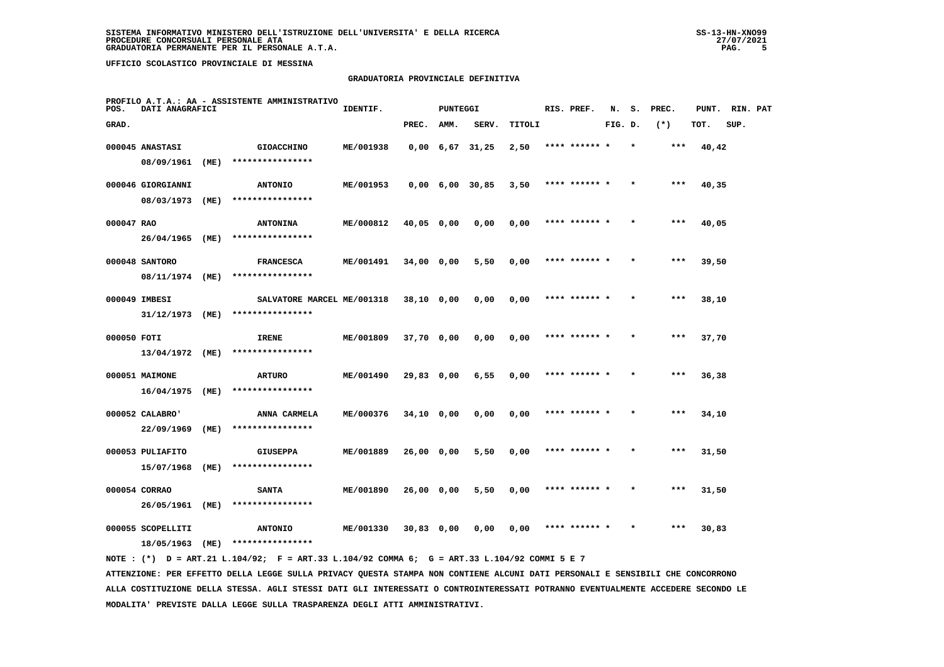## **GRADUATORIA PROVINCIALE DEFINITIVA**

| POS.        | DATI ANAGRAFICI   |      | PROFILO A.T.A.: AA - ASSISTENTE AMMINISTRATIVO | IDENTIF.  |              | <b>PUNTEGGI</b> |                   |        | RIS. PREF.    | N.      | s.      | PREC. | PUNT. | RIN. PAT |  |
|-------------|-------------------|------|------------------------------------------------|-----------|--------------|-----------------|-------------------|--------|---------------|---------|---------|-------|-------|----------|--|
| GRAD.       |                   |      |                                                |           | PREC.        | AMM.            | SERV.             | TITOLI |               | FIG. D. |         | $(*)$ | TOT.  | SUP.     |  |
|             | 000045 ANASTASI   |      | <b>GIOACCHINO</b>                              | ME/001938 |              |                 | $0,00$ 6,67 31,25 | 2,50   | **** ****** * |         | $\star$ | ***   | 40,42 |          |  |
|             | 08/09/1961        | (ME) | ****************                               |           |              |                 |                   |        |               |         |         |       |       |          |  |
|             | 000046 GIORGIANNI |      | <b>ANTONIO</b>                                 | ME/001953 |              |                 | $0,00$ 6,00 30,85 | 3,50   | **** ******   |         |         | $***$ | 40,35 |          |  |
|             | 08/03/1973        | (ME) | ****************                               |           |              |                 |                   |        |               |         |         |       |       |          |  |
| 000047 RAO  |                   |      | <b>ANTONINA</b>                                | ME/000812 | 40,05 0,00   |                 | 0,00              | 0,00   | **** ****** * |         |         | $***$ | 40,05 |          |  |
|             | 26/04/1965        | (ME) | ****************                               |           |              |                 |                   |        |               |         |         |       |       |          |  |
|             | 000048 SANTORO    |      | <b>FRANCESCA</b>                               | ME/001491 | 34,00 0,00   |                 | 5,50              | 0,00   | **** ****** * |         | $\star$ | $***$ | 39,50 |          |  |
|             | 08/11/1974 (ME)   |      | ****************                               |           |              |                 |                   |        |               |         |         |       |       |          |  |
|             | 000049 IMBESI     |      | SALVATORE MARCEL ME/001318                     |           | $38,10$ 0,00 |                 | 0,00              | 0,00   | **** ****** * |         |         | $***$ | 38,10 |          |  |
|             | 31/12/1973        | (ME) | ****************                               |           |              |                 |                   |        |               |         |         |       |       |          |  |
| 000050 FOTI |                   |      | <b>IRENE</b>                                   | ME/001809 | 37,70 0,00   |                 | 0,00              | 0,00   | **** ****** * |         |         | $***$ | 37,70 |          |  |
|             | 13/04/1972 (ME)   |      | ****************                               |           |              |                 |                   |        |               |         |         |       |       |          |  |
|             | 000051 MAIMONE    |      | ARTURO                                         | ME/001490 | 29,83 0,00   |                 | 6,55              | 0,00   | **** ****** * |         |         | ***   | 36,38 |          |  |
|             | 16/04/1975        | (ME) | ****************                               |           |              |                 |                   |        |               |         |         |       |       |          |  |
|             | 000052 CALABRO'   |      | ANNA CARMELA                                   | ME/000376 | 34,10 0,00   |                 | 0.00              | 0,00   | **** ****** * |         |         | ***   | 34,10 |          |  |
|             | 22/09/1969        | (ME) | ****************                               |           |              |                 |                   |        |               |         |         |       |       |          |  |
|             | 000053 PULIAFITO  |      | <b>GIUSEPPA</b>                                | ME/001889 | 26,00 0,00   |                 | 5,50              | 0,00   | **** ****** * |         |         | ***   | 31,50 |          |  |
|             | 15/07/1968        | (ME) | ****************                               |           |              |                 |                   |        |               |         |         |       |       |          |  |
|             | 000054 CORRAO     |      | <b>SANTA</b>                                   | ME/001890 | 26,00 0,00   |                 | 5,50              | 0,00   | **** ****** * |         |         | ***   | 31,50 |          |  |
|             | 26/05/1961        | (ME) | ****************                               |           |              |                 |                   |        |               |         |         |       |       |          |  |
|             | 000055 SCOPELLITI |      | <b>ANTONIO</b>                                 | ME/001330 | $30,83$ 0,00 |                 | 0,00              | 0,00   | **** ****** * |         |         | $***$ | 30,83 |          |  |
|             | 18/05/1963        | (ME) | ****************                               |           |              |                 |                   |        |               |         |         |       |       |          |  |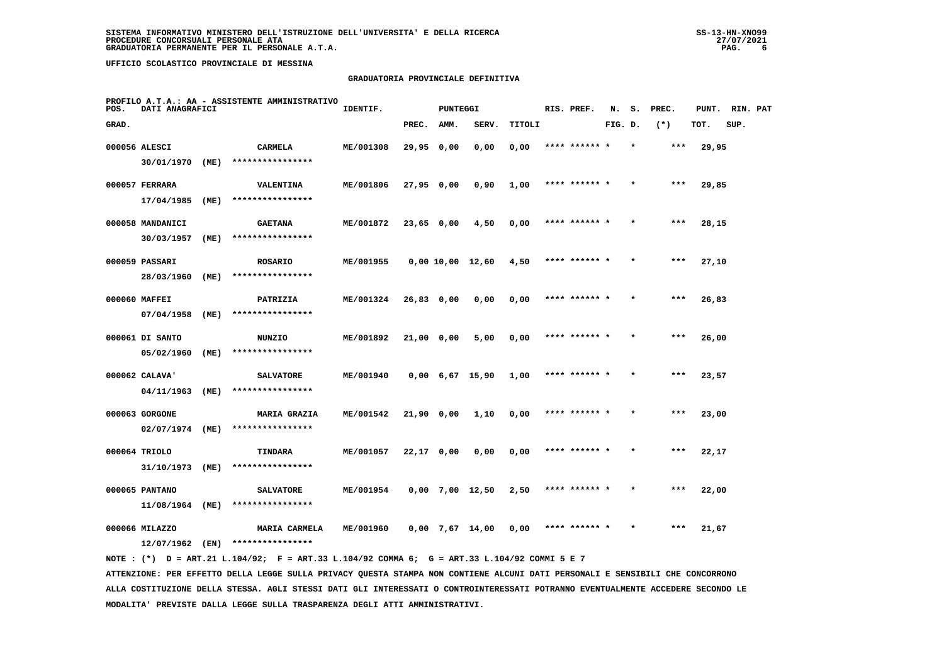## **GRADUATORIA PROVINCIALE DEFINITIVA**

| POS.  | DATI ANAGRAFICI  |      | PROFILO A.T.A.: AA - ASSISTENTE AMMINISTRATIVO | IDENTIF.  |              | <b>PUNTEGGI</b> |                   |        | RIS. PREF.    | N.      | s.      | PREC. | PUNT. | RIN. PAT |  |
|-------|------------------|------|------------------------------------------------|-----------|--------------|-----------------|-------------------|--------|---------------|---------|---------|-------|-------|----------|--|
| GRAD. |                  |      |                                                |           | PREC.        | AMM.            | SERV.             | TITOLI |               | FIG. D. |         | $(*)$ | TOT.  | SUP.     |  |
|       | 000056 ALESCI    |      | <b>CARMELA</b>                                 | ME/001308 | 29,95 0,00   |                 | 0,00              | 0,00   | **** ****** * |         | $\star$ | ***   | 29,95 |          |  |
|       | 30/01/1970 (ME)  |      | ****************                               |           |              |                 |                   |        |               |         |         |       |       |          |  |
|       | 000057 FERRARA   |      | <b>VALENTINA</b>                               | ME/001806 | $27,95$ 0,00 |                 | 0,90              | 1,00   | **** ****** * |         |         | ***   | 29,85 |          |  |
|       | 17/04/1985       | (ME) | ****************                               |           |              |                 |                   |        |               |         |         |       |       |          |  |
|       | 000058 MANDANICI |      | <b>GAETANA</b>                                 | ME/001872 | 23,65 0,00   |                 | 4,50              | 0,00   | **** ****** * |         |         | $***$ | 28,15 |          |  |
|       | 30/03/1957       | (ME) | ****************                               |           |              |                 |                   |        |               |         |         |       |       |          |  |
|       | 000059 PASSARI   |      | <b>ROSARIO</b>                                 | ME/001955 |              |                 | 0,00 10,00 12,60  | 4,50   | **** ****** * |         |         | $***$ | 27,10 |          |  |
|       | 28/03/1960       | (ME) | ****************                               |           |              |                 |                   |        |               |         |         |       |       |          |  |
|       | 000060 MAFFEI    |      | PATRIZIA                                       | ME/001324 | 26,83 0,00   |                 | 0,00              | 0,00   | **** ****** * |         |         | $***$ | 26,83 |          |  |
|       | 07/04/1958       | (ME) | ****************                               |           |              |                 |                   |        |               |         |         |       |       |          |  |
|       | 000061 DI SANTO  |      | NUNZIO                                         | ME/001892 | 21,00 0,00   |                 | 5,00              | 0,00   | **** ****** * |         |         | $***$ | 26,00 |          |  |
|       | 05/02/1960       | (ME) | ****************                               |           |              |                 |                   |        |               |         |         |       |       |          |  |
|       | 000062 CALAVA'   |      | <b>SALVATORE</b>                               | ME/001940 |              |                 | 0,00 6,67 15,90   | 1,00   | **** ****** * |         |         | $***$ | 23,57 |          |  |
|       | 04/11/1963 (ME)  |      | ****************                               |           |              |                 |                   |        |               |         |         |       |       |          |  |
|       | 000063 GORGONE   |      | <b>MARIA GRAZIA</b>                            | ME/001542 | 21,90 0,00   |                 | 1,10              | 0,00   | **** ****** * |         |         | ***   | 23,00 |          |  |
|       | 02/07/1974 (ME)  |      | ****************                               |           |              |                 |                   |        |               |         |         |       |       |          |  |
|       | 000064 TRIOLO    |      | TINDARA                                        | ME/001057 | $22,17$ 0,00 |                 | 0,00              | 0,00   | **** ****** * |         |         | $***$ | 22,17 |          |  |
|       | 31/10/1973       | (ME) | ****************                               |           |              |                 |                   |        |               |         |         |       |       |          |  |
|       | 000065 PANTANO   |      | <b>SALVATORE</b>                               | ME/001954 |              |                 | $0,00$ 7,00 12,50 | 2,50   | **** ****** * |         |         | $***$ | 22,00 |          |  |
|       | 11/08/1964 (ME)  |      | ****************                               |           |              |                 |                   |        |               |         |         |       |       |          |  |
|       | 000066 MILAZZO   |      | MARIA CARMELA                                  | ME/001960 |              |                 | $0.00$ 7.67 14.00 | 0.00   | **** ****** * |         |         | ***   | 21,67 |          |  |
|       | 12/07/1962       | (EN) | ****************                               |           |              |                 |                   |        |               |         |         |       |       |          |  |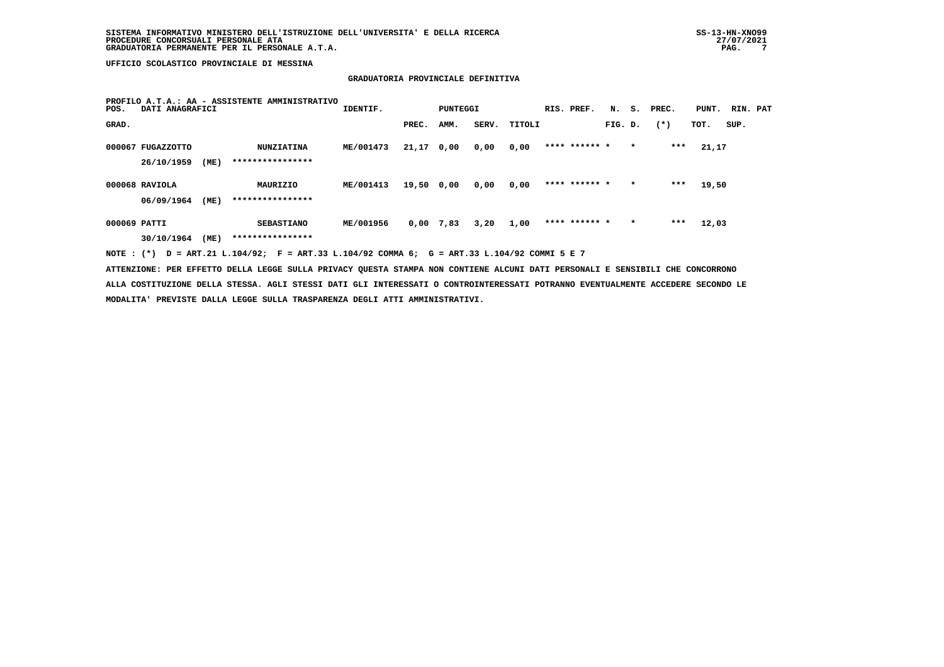# **GRADUATORIA PROVINCIALE DEFINITIVA**

| POS.         | DATI ANAGRAFICI                 |      | PROFILO A.T.A.: AA - ASSISTENTE AMMINISTRATIVO | IDENTIF.  |       | PUNTEGGI |       |        | RIS. PREF.    | N.      | s.      | PREC.  | PUNT. | RIN. PAT |  |
|--------------|---------------------------------|------|------------------------------------------------|-----------|-------|----------|-------|--------|---------------|---------|---------|--------|-------|----------|--|
| GRAD.        |                                 |      |                                                |           | PREC. | AMM.     | SERV. | TITOLI |               | FIG. D. |         | $(* )$ | TOT.  | SUP.     |  |
|              | 000067 FUGAZZOTTO<br>26/10/1959 | (ME) | <b>NUNZIATINA</b><br>****************          | ME/001473 | 21,17 | 0,00     | 0,00  | 0,00   | **** ****** * |         | $\star$ | $***$  | 21,17 |          |  |
|              | 000068 RAVIOLA<br>06/09/1964    | (ME) | MAURIZIO<br>****************                   | ME/001413 | 19,50 | 0,00     | 0,00  | 0,00   | **** ****** * |         | $\star$ | $***$  | 19,50 |          |  |
| 000069 PATTI | 30/10/1964                      | (ME) | <b>SEBASTIANO</b><br>****************          | ME/001956 | 0,00  | 7,83     | 3,20  | 1,00   | **** ****** * |         | $\star$ | ***    | 12,03 |          |  |

 **NOTE : (\*) D = ART.21 L.104/92; F = ART.33 L.104/92 COMMA 6; G = ART.33 L.104/92 COMMI 5 E 7**

 **ATTENZIONE: PER EFFETTO DELLA LEGGE SULLA PRIVACY QUESTA STAMPA NON CONTIENE ALCUNI DATI PERSONALI E SENSIBILI CHE CONCORRONO ALLA COSTITUZIONE DELLA STESSA. AGLI STESSI DATI GLI INTERESSATI O CONTROINTERESSATI POTRANNO EVENTUALMENTE ACCEDERE SECONDO LE MODALITA' PREVISTE DALLA LEGGE SULLA TRASPARENZA DEGLI ATTI AMMINISTRATIVI.**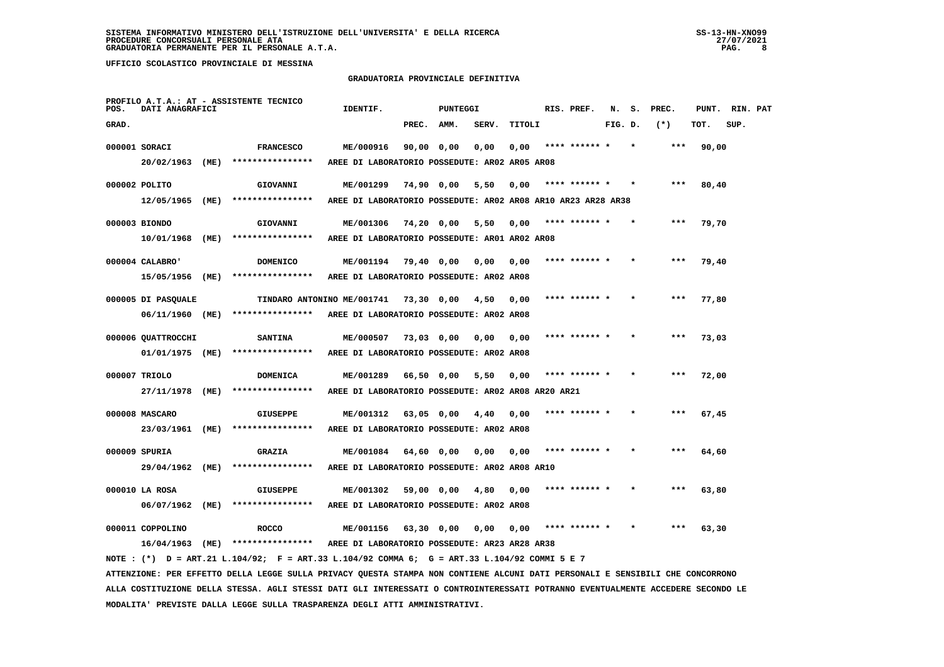## **GRADUATORIA PROVINCIALE DEFINITIVA**

| POS.  | DATI ANAGRAFICI    |      | PROFILO A.T.A.: AT - ASSISTENTE TECNICO                                                                                       | IDENTIF.                                                     |              | <b>PUNTEGGI</b> |       |        | RIS. PREF.    | N.      | s. | PREC. | PUNT. | RIN. PAT |  |
|-------|--------------------|------|-------------------------------------------------------------------------------------------------------------------------------|--------------------------------------------------------------|--------------|-----------------|-------|--------|---------------|---------|----|-------|-------|----------|--|
| GRAD. |                    |      |                                                                                                                               |                                                              | PREC.        | AMM.            | SERV. | TITOLI |               | FIG. D. |    | $(*)$ | TOT.  | SUP.     |  |
|       | 000001 SORACI      |      | <b>FRANCESCO</b>                                                                                                              | ME/000916                                                    | 90,00 0,00   |                 | 0,00  | 0,00   | **** ****** * |         |    | $***$ | 90,00 |          |  |
|       | 20/02/1963         | (ME) | ****************                                                                                                              | AREE DI LABORATORIO POSSEDUTE: AR02 AR05 AR08                |              |                 |       |        |               |         |    |       |       |          |  |
|       | 000002 POLITO      |      | GIOVANNI                                                                                                                      | ME/001299                                                    | 74,90 0,00   |                 | 5,50  | 0,00   | **** ****** * |         |    | ***   | 80,40 |          |  |
|       | 12/05/1965         | (ME) | ****************                                                                                                              | AREE DI LABORATORIO POSSEDUTE: AR02 AR08 AR10 AR23 AR28 AR38 |              |                 |       |        |               |         |    |       |       |          |  |
|       | 000003 BIONDO      |      | GIOVANNI                                                                                                                      | ME/001306                                                    | $74,20$ 0,00 |                 | 5,50  | 0,00   | **** ****** * |         |    | $***$ | 79,70 |          |  |
|       | 10/01/1968         | (ME) | ****************                                                                                                              | AREE DI LABORATORIO POSSEDUTE: AR01 AR02 AR08                |              |                 |       |        |               |         |    |       |       |          |  |
|       | 000004 CALABRO'    |      | <b>DOMENICO</b>                                                                                                               | ME/001194                                                    | 79,40 0,00   |                 |       | 0.00   | **** ****** * |         |    | ***   | 79,40 |          |  |
|       | 15/05/1956 (ME)    |      | ****************                                                                                                              | AREE DI LABORATORIO POSSEDUTE: AR02 AR08                     |              |                 | 0,00  |        |               |         |    |       |       |          |  |
|       |                    |      |                                                                                                                               |                                                              |              |                 |       |        |               |         |    |       |       |          |  |
|       | 000005 DI PASQUALE |      | TINDARO ANTONINO ME/001741                                                                                                    |                                                              | 73,30 0,00   |                 | 4,50  | 0,00   | **** ****** * |         |    | $***$ | 77,80 |          |  |
|       | 06/11/1960 (ME)    |      | ****************                                                                                                              | AREE DI LABORATORIO POSSEDUTE: AR02 AR08                     |              |                 |       |        |               |         |    |       |       |          |  |
|       | 000006 QUATTROCCHI |      | <b>SANTINA</b>                                                                                                                | ME/000507                                                    | $73,03$ 0,00 |                 | 0,00  | 0,00   | **** ****** * |         |    | ***   | 73,03 |          |  |
|       | 01/01/1975 (ME)    |      | ****************                                                                                                              | AREE DI LABORATORIO POSSEDUTE: AR02 AR08                     |              |                 |       |        |               |         |    |       |       |          |  |
|       | 000007 TRIOLO      |      | DOMENICA                                                                                                                      | ME/001289                                                    | 66,50 0,00   |                 | 5,50  | 0,00   | **** ****** * |         |    | ***   | 72,00 |          |  |
|       | 27/11/1978 (ME)    |      | ****************                                                                                                              | AREE DI LABORATORIO POSSEDUTE: AR02 AR08 AR20 AR21           |              |                 |       |        |               |         |    |       |       |          |  |
|       | 000008 MASCARO     |      | <b>GIUSEPPE</b>                                                                                                               | ME/001312                                                    | $63,05$ 0,00 |                 | 4,40  | 0,00   |               |         |    |       | 67,45 |          |  |
|       | 23/03/1961 (ME)    |      | ****************                                                                                                              | AREE DI LABORATORIO POSSEDUTE: AR02 AR08                     |              |                 |       |        |               |         |    |       |       |          |  |
|       | 000009 SPURIA      |      | <b>GRAZIA</b>                                                                                                                 | ME/001084                                                    | 64,60 0,00   |                 | 0,00  | 0,00   | **** ****** * |         |    |       | 64,60 |          |  |
|       | 29/04/1962 (ME)    |      | ****************                                                                                                              | AREE DI LABORATORIO POSSEDUTE: AR02 AR08 AR10                |              |                 |       |        |               |         |    |       |       |          |  |
|       |                    |      |                                                                                                                               |                                                              |              |                 |       |        |               |         |    |       |       |          |  |
|       | 000010 LA ROSA     |      | <b>GIUSEPPE</b>                                                                                                               | ME/001302                                                    | 59,00 0,00   |                 | 4,80  | 0,00   |               |         |    | ***   | 63,80 |          |  |
|       | 06/07/1962 (ME)    |      | ****************                                                                                                              | AREE DI LABORATORIO POSSEDUTE: AR02 AR08                     |              |                 |       |        |               |         |    |       |       |          |  |
|       | 000011 COPPOLINO   |      | <b>ROCCO</b>                                                                                                                  | ME/001156                                                    | $63,30$ 0,00 |                 | 0.00  | 0.00   | **** ****** * |         |    |       | 63,30 |          |  |
|       | 16/04/1963 (ME)    |      | ****************                                                                                                              | AREE DI LABORATORIO POSSEDUTE: AR23 AR28 AR38                |              |                 |       |        |               |         |    |       |       |          |  |
|       |                    |      | NOTE: (*) D = ART.21 L.104/92; F = ART.33 L.104/92 COMMA 6; G = ART.33 L.104/92 COMMI 5 E 7                                   |                                                              |              |                 |       |        |               |         |    |       |       |          |  |
|       |                    |      | ATTENZIONE: PER EFFETTO DELLA LEGGE SULLA PRIVACY QUESTA STAMPA NON CONTIENE ALCUNI DATI PERSONALI E SENSIBILI CHE CONCORRONO |                                                              |              |                 |       |        |               |         |    |       |       |          |  |

 **ALLA COSTITUZIONE DELLA STESSA. AGLI STESSI DATI GLI INTERESSATI O CONTROINTERESSATI POTRANNO EVENTUALMENTE ACCEDERE SECONDO LE MODALITA' PREVISTE DALLA LEGGE SULLA TRASPARENZA DEGLI ATTI AMMINISTRATIVI.**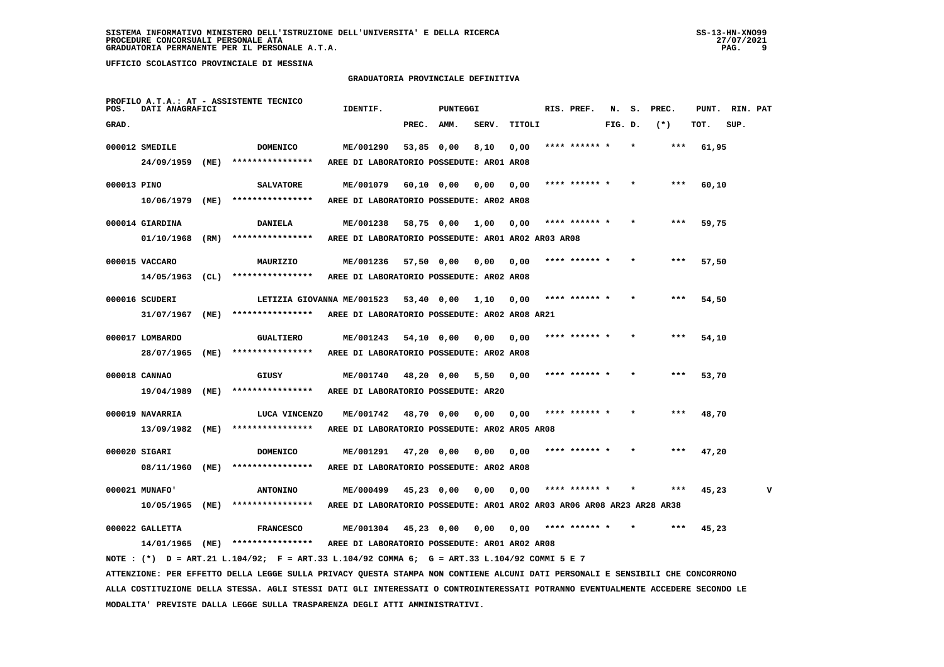## **GRADUATORIA PROVINCIALE DEFINITIVA**

| POS.        | DATI ANAGRAFICI   |      | PROFILO A.T.A.: AT - ASSISTENTE TECNICO                                                                                         | IDENTIF.                                                               |       | <b>PUNTEGGI</b> |       |               | RIS. PREF.    | N.      | S. PREC. | PUNT. | RIN. PAT |  |
|-------------|-------------------|------|---------------------------------------------------------------------------------------------------------------------------------|------------------------------------------------------------------------|-------|-----------------|-------|---------------|---------------|---------|----------|-------|----------|--|
| GRAD.       |                   |      |                                                                                                                                 |                                                                        | PREC. | AMM.            | SERV. | <b>TITOLI</b> |               | FIG. D. | $(*)$    | TOT.  | SUP.     |  |
|             | 000012 SMEDILE    |      | <b>DOMENICO</b>                                                                                                                 | ME/001290                                                              |       | 53,85 0,00      | 8,10  | 0,00          | **** ****** * |         | ***      | 61,95 |          |  |
|             | 24/09/1959        | (ME) | ****************                                                                                                                | AREE DI LABORATORIO POSSEDUTE: AR01 AR08                               |       |                 |       |               |               |         |          |       |          |  |
| 000013 PINO |                   |      | <b>SALVATORE</b>                                                                                                                | ME/001079                                                              |       | 60,10 0,00      | 0,00  | 0,00          |               |         |          | 60,10 |          |  |
|             | 10/06/1979        | (ME) | ****************                                                                                                                | AREE DI LABORATORIO POSSEDUTE: AR02 AR08                               |       |                 |       |               |               |         |          |       |          |  |
|             |                   |      |                                                                                                                                 |                                                                        |       |                 |       |               |               |         |          |       |          |  |
|             | 000014 GIARDINA   |      | <b>DANIELA</b>                                                                                                                  | ME/001238                                                              |       | 58,75 0,00      | 1,00  | 0,00          | **** ****** * |         |          | 59,75 |          |  |
|             | 01/10/1968        | (RM) | ****************                                                                                                                | AREE DI LABORATORIO POSSEDUTE: AR01 AR02 AR03 AR08                     |       |                 |       |               |               |         |          |       |          |  |
|             | 000015 VACCARO    |      | MAURIZIO                                                                                                                        | ME/001236                                                              |       | 57,50 0,00      | 0,00  | 0,00          |               |         |          | 57,50 |          |  |
|             | $14/05/1963$ (CL) |      | ****************                                                                                                                | AREE DI LABORATORIO POSSEDUTE: AR02 AR08                               |       |                 |       |               |               |         |          |       |          |  |
|             | 000016 SCUDERI    |      | LETIZIA GIOVANNA ME/001523                                                                                                      |                                                                        |       | 53,40 0,00      | 1,10  | 0,00          | **** ****** * |         | ***      | 54,50 |          |  |
|             | 31/07/1967        | (ME) | ****************                                                                                                                | AREE DI LABORATORIO POSSEDUTE: AR02 AR08 AR21                          |       |                 |       |               |               |         |          |       |          |  |
|             |                   |      |                                                                                                                                 |                                                                        |       |                 |       |               |               |         |          |       |          |  |
|             | 000017 LOMBARDO   |      | <b>GUALTIERO</b>                                                                                                                | ME/001243                                                              |       | 54,10 0,00      | 0,00  | 0,00          | **** ****** * |         | ***      | 54,10 |          |  |
|             | 28/07/1965        | (ME) | ****************                                                                                                                | AREE DI LABORATORIO POSSEDUTE: AR02 AR08                               |       |                 |       |               |               |         |          |       |          |  |
|             | 000018 CANNAO     |      | GIUSY                                                                                                                           | ME/001740                                                              |       | 48,20 0,00      | 5,50  | 0,00          |               |         |          | 53,70 |          |  |
|             | 19/04/1989        | (ME) | ****************                                                                                                                | AREE DI LABORATORIO POSSEDUTE: AR20                                    |       |                 |       |               |               |         |          |       |          |  |
|             | 000019 NAVARRIA   |      | LUCA VINCENZO                                                                                                                   | ME/001742                                                              |       | 48,70 0,00      | 0,00  | 0,00          |               |         |          | 48,70 |          |  |
|             | 13/09/1982        | (ME) | ****************                                                                                                                | AREE DI LABORATORIO POSSEDUTE: AR02 AR05 AR08                          |       |                 |       |               |               |         |          |       |          |  |
|             |                   |      |                                                                                                                                 |                                                                        |       |                 |       |               |               |         |          |       |          |  |
|             | 000020 SIGARI     |      | <b>DOMENICO</b>                                                                                                                 | ME/001291                                                              |       | $47,20$ 0,00    | 0,00  | 0,00          |               |         |          | 47,20 |          |  |
|             | 08/11/1960        | (ME) | ****************                                                                                                                | AREE DI LABORATORIO POSSEDUTE: AR02 AR08                               |       |                 |       |               |               |         |          |       |          |  |
|             | 000021 MUNAFO'    |      | <b>ANTONINO</b>                                                                                                                 | ME/000499                                                              |       | 45,23 0,00      | 0,00  | 0,00          | **** ****** * |         |          | 45,23 |          |  |
|             | 10/05/1965 (ME)   |      | ****************                                                                                                                | AREE DI LABORATORIO POSSEDUTE: AR01 AR02 AR03 AR06 AR08 AR23 AR28 AR38 |       |                 |       |               |               |         |          |       |          |  |
|             | 000022 GALLETTA   |      | <b>FRANCESCO</b>                                                                                                                | ME/001304                                                              |       | $45,23$ 0,00    | 0,00  | 0,00          | **** ****** * |         |          | 45,23 |          |  |
|             |                   |      | 14/01/1965 (ME) ****************                                                                                                | AREE DI LABORATORIO POSSEDUTE: AR01 AR02 AR08                          |       |                 |       |               |               |         |          |       |          |  |
|             |                   |      | NOTE: (*) D = ART.21 L.104/92; F = ART.33 L.104/92 COMMA 6; G = ART.33 L.104/92 COMMI 5 E 7                                     |                                                                        |       |                 |       |               |               |         |          |       |          |  |
|             |                   |      | ATTENZIONE: PER EFFETTO DELLA LEGGE SULLA PRIVACY QUESTA STAMPA NON CONTIENE ALCUNI DATI PERSONALI E SENSIBILI CHE CONCORRONO   |                                                                        |       |                 |       |               |               |         |          |       |          |  |
|             |                   |      | ALLA COSTITUZIONE DELLA STESSA. AGLI STESSI DATI GLI INTERESSATI O CONTROINTERESSATI POTRANNO EVENTUALMENTE ACCEDERE SECONDO LE |                                                                        |       |                 |       |               |               |         |          |       |          |  |
|             |                   |      | MODALITA' PREVISTE DALLA LEGGE SULLA TRASPARENZA DEGLI ATTI AMMINISTRATIVI.                                                     |                                                                        |       |                 |       |               |               |         |          |       |          |  |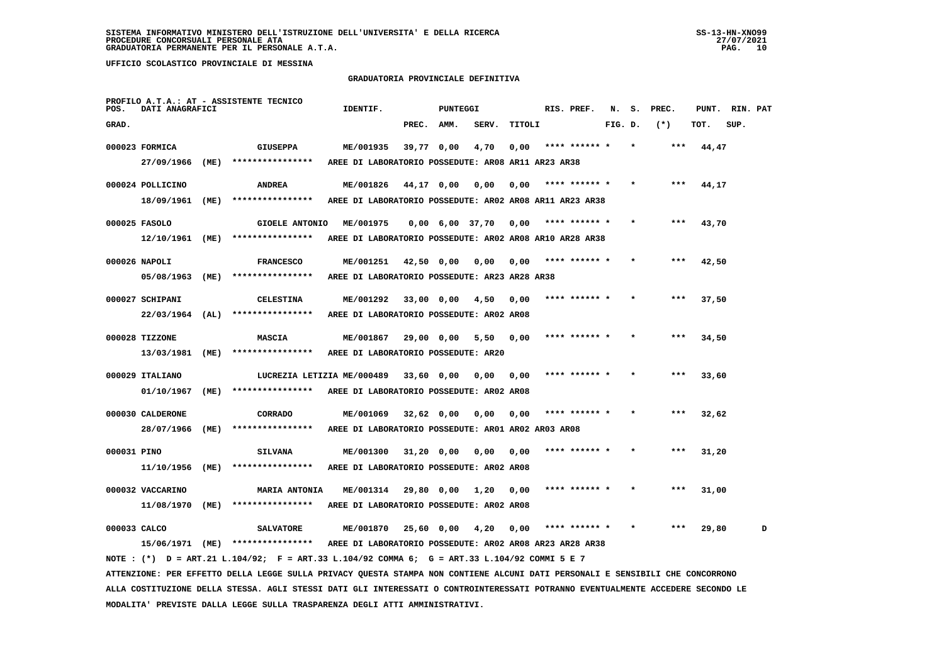## **GRADUATORIA PROVINCIALE DEFINITIVA**

| POS.         | DATI ANAGRAFICI             |      | PROFILO A.T.A.: AT - ASSISTENTE TECNICO                                                                                         | IDENTIF.                                                   |            | <b>PUNTEGGI</b>               |       |        | RIS. PREF.    | N.      | s. | PREC. | PUNT. | RIN. PAT |   |
|--------------|-----------------------------|------|---------------------------------------------------------------------------------------------------------------------------------|------------------------------------------------------------|------------|-------------------------------|-------|--------|---------------|---------|----|-------|-------|----------|---|
| GRAD.        |                             |      |                                                                                                                                 |                                                            | PREC.      | AMM.                          | SERV. | TITOLI |               | FIG. D. |    | $(*)$ | TOT.  | SUP.     |   |
|              | 000023 FORMICA              |      | <b>GIUSEPPA</b>                                                                                                                 | ME/001935                                                  | 39,77 0,00 |                               | 4,70  | 0,00   | **** ****** * |         |    | $***$ | 44,47 |          |   |
|              | 27/09/1966                  | (ME) | ****************                                                                                                                | AREE DI LABORATORIO POSSEDUTE: AR08 AR11 AR23 AR38         |            |                               |       |        |               |         |    |       |       |          |   |
|              | 000024 POLLICINO            |      | <b>ANDREA</b>                                                                                                                   | ME/001826                                                  |            | 44,17 0,00                    | 0,00  | 0,00   | **** ****** * |         |    | ***   | 44,17 |          |   |
|              | 18/09/1961                  | (ME) | ****************                                                                                                                | AREE DI LABORATORIO POSSEDUTE: AR02 AR08 AR11 AR23 AR38    |            |                               |       |        |               |         |    |       |       |          |   |
|              | 000025 FASOLO               |      | <b>GIOELE ANTONIO</b>                                                                                                           | ME/001975                                                  |            | $0,00 \quad 6,00 \quad 37,70$ |       | 0,00   | **** ****** * |         |    | ***   | 43,70 |          |   |
|              | 12/10/1961 (ME)             |      | ****************                                                                                                                | AREE DI LABORATORIO POSSEDUTE: AR02 AR08 AR10 AR28 AR38    |            |                               |       |        |               |         |    |       |       |          |   |
|              |                             |      |                                                                                                                                 |                                                            |            |                               |       |        |               |         |    |       |       |          |   |
|              | 000026 NAPOLI<br>05/08/1963 | (ME) | <b>FRANCESCO</b><br>****************                                                                                            | ME/001251<br>AREE DI LABORATORIO POSSEDUTE: AR23 AR28 AR38 |            | 42,50 0,00                    | 0,00  | 0,00   |               |         |    |       | 42,50 |          |   |
|              |                             |      |                                                                                                                                 |                                                            |            |                               |       |        |               |         |    |       |       |          |   |
|              | 000027 SCHIPANI             |      | <b>CELESTINA</b>                                                                                                                | ME/001292                                                  |            | 33,00 0,00                    | 4,50  | 0.00   | **** ****** * |         |    | ***   | 37,50 |          |   |
|              | 22/03/1964                  | (AL) | ****************                                                                                                                | AREE DI LABORATORIO POSSEDUTE: AR02 AR08                   |            |                               |       |        |               |         |    |       |       |          |   |
|              | 000028 TIZZONE              |      | <b>MASCIA</b>                                                                                                                   | ME/001867                                                  |            | 29,00 0,00                    | 5,50  | 0,00   | **** ****** * |         |    | ***   | 34,50 |          |   |
|              | 13/03/1981                  | (ME) | ****************                                                                                                                | AREE DI LABORATORIO POSSEDUTE: AR20                        |            |                               |       |        |               |         |    |       |       |          |   |
|              | 000029 ITALIANO             |      | LUCREZIA LETIZIA ME/000489                                                                                                      |                                                            | 33,60 0,00 |                               | 0,00  | 0.00   |               |         |    | ***   | 33,60 |          |   |
|              | 01/10/1967                  | (ME) | ****************                                                                                                                | AREE DI LABORATORIO POSSEDUTE: AR02 AR08                   |            |                               |       |        |               |         |    |       |       |          |   |
|              | 000030 CALDERONE            |      | <b>CORRADO</b>                                                                                                                  | ME/001069                                                  |            | $32,62$ 0,00                  | 0,00  | 0,00   |               |         |    | ***   | 32,62 |          |   |
|              | 28/07/1966                  | (ME) | ****************                                                                                                                | AREE DI LABORATORIO POSSEDUTE: AR01 AR02 AR03 AR08         |            |                               |       |        |               |         |    |       |       |          |   |
| 000031 PINO  |                             |      | <b>SILVANA</b>                                                                                                                  | ME/001300                                                  |            | $31,20$ 0,00                  | 0,00  | 0,00   |               |         |    |       | 31,20 |          |   |
|              | 11/10/1956                  | (ME) | ****************                                                                                                                | AREE DI LABORATORIO POSSEDUTE: AR02 AR08                   |            |                               |       |        |               |         |    |       |       |          |   |
|              | 000032 VACCARINO            |      | <b>MARIA ANTONIA</b>                                                                                                            | ME/001314                                                  | 29,80 0,00 |                               | 1,20  | 0.00   | **** ****** * |         |    | ***   | 31,00 |          |   |
|              | 11/08/1970                  | (ME) | ****************                                                                                                                | AREE DI LABORATORIO POSSEDUTE: AR02 AR08                   |            |                               |       |        |               |         |    |       |       |          |   |
|              |                             |      |                                                                                                                                 |                                                            |            |                               |       |        |               |         |    |       |       |          |   |
| 000033 CALCO |                             |      | <b>SALVATORE</b><br>15/06/1971 (ME) ****************                                                                            | ME/001870                                                  |            | 25,60 0,00                    | 4,20  | 0,00   | **** ****** * |         |    |       | 29,80 |          | D |
|              |                             |      | NOTE: (*) D = ART.21 L.104/92; F = ART.33 L.104/92 COMMA 6; G = ART.33 L.104/92 COMMI 5 E 7                                     | AREE DI LABORATORIO POSSEDUTE: AR02 AR08 AR23 AR28 AR38    |            |                               |       |        |               |         |    |       |       |          |   |
|              |                             |      | ATTENZIONE: PER EFFETTO DELLA LEGGE SULLA PRIVACY QUESTA STAMPA NON CONTIENE ALCUNI DATI PERSONALI E SENSIBILI CHE CONCORRONO   |                                                            |            |                               |       |        |               |         |    |       |       |          |   |
|              |                             |      | ALLA COSTITUZIONE DELLA STESSA. AGLI STESSI DATI GLI INTERESSATI O CONTROINTERESSATI POTRANNO EVENTUALMENTE ACCEDERE SECONDO LE |                                                            |            |                               |       |        |               |         |    |       |       |          |   |
|              |                             |      | MODALITA' PREVISTE DALLA LEGGE SULLA TRASPARENZA DEGLI ATTI AMMINISTRATIVI.                                                     |                                                            |            |                               |       |        |               |         |    |       |       |          |   |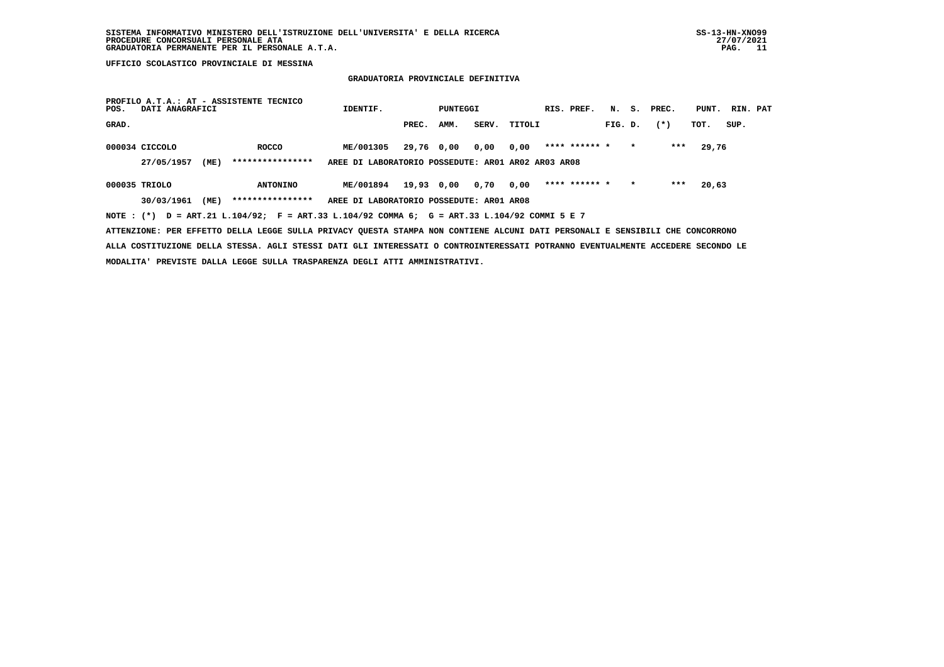# **GRADUATORIA PROVINCIALE DEFINITIVA**

| POS.           | DATI ANAGRAFICI |      | PROFILO A.T.A.: AT - ASSISTENTE TECNICO                                                                                       | IDENTIF.                                           |            | PUNTEGGI |      |              | RIS. PREF.    |         |         | N. S. PREC. | PUNT. | RIN. PAT |  |
|----------------|-----------------|------|-------------------------------------------------------------------------------------------------------------------------------|----------------------------------------------------|------------|----------|------|--------------|---------------|---------|---------|-------------|-------|----------|--|
| GRAD.          |                 |      |                                                                                                                               |                                                    | PREC.      | AMM.     |      | SERV. TITOLI |               | FIG. D. |         | $(*)$       | TOT.  | SUP.     |  |
| 000034 CICCOLO |                 |      | <b>ROCCO</b>                                                                                                                  | ME/001305                                          | 29,76 0,00 |          | 0,00 | 0,00         | **** ****** * |         |         | ***         | 29,76 |          |  |
|                | 27/05/1957      | (ME) | ****************                                                                                                              | AREE DI LABORATORIO POSSEDUTE: ARO1 ARO2 ARO3 ARO8 |            |          |      |              |               |         |         |             |       |          |  |
| 000035 TRIOLO  |                 |      | <b>ANTONINO</b>                                                                                                               | ME/001894                                          | 19,93 0,00 |          | 0,70 | 0,00         | **** ****** * |         | $\star$ | ***         | 20,63 |          |  |
|                | 30/03/1961      | (ME) | ****************                                                                                                              | AREE DI LABORATORIO POSSEDUTE: AR01 AR08           |            |          |      |              |               |         |         |             |       |          |  |
|                |                 |      | NOTE: (*) D = ART.21 L.104/92; F = ART.33 L.104/92 COMMA 6; G = ART.33 L.104/92 COMMI 5 E 7                                   |                                                    |            |          |      |              |               |         |         |             |       |          |  |
|                |                 |      | ATTENZIONE: PER EFFETTO DELLA LEGGE SULLA PRIVACY QUESTA STAMPA NON CONTIENE ALCUNI DATI PERSONALI E SENSIBILI CHE CONCORRONO |                                                    |            |          |      |              |               |         |         |             |       |          |  |

 **ALLA COSTITUZIONE DELLA STESSA. AGLI STESSI DATI GLI INTERESSATI O CONTROINTERESSATI POTRANNO EVENTUALMENTE ACCEDERE SECONDO LE MODALITA' PREVISTE DALLA LEGGE SULLA TRASPARENZA DEGLI ATTI AMMINISTRATIVI.**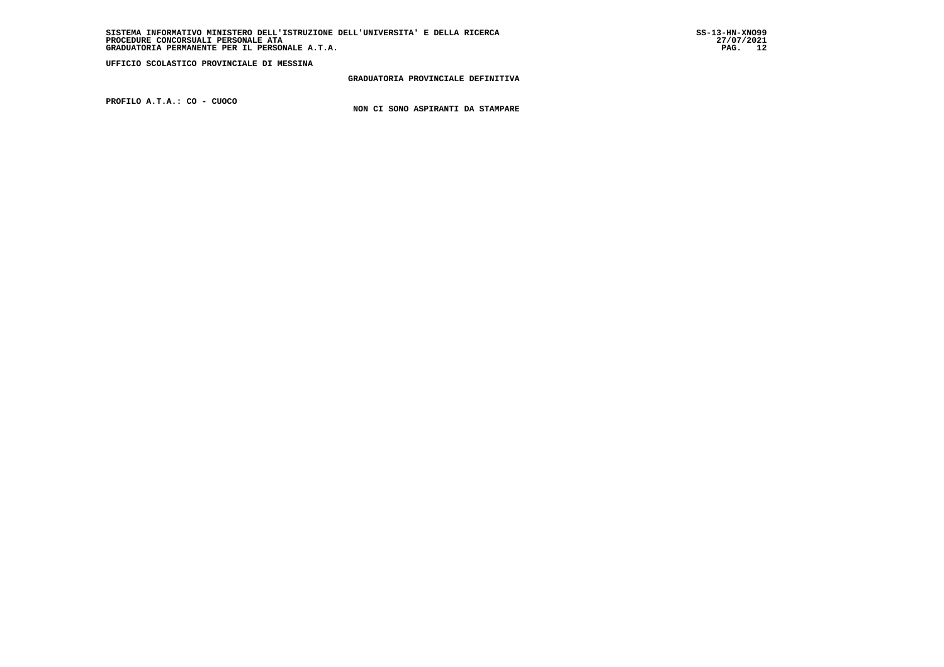**GRADUATORIA PROVINCIALE DEFINITIVA**

 **PROFILO A.T.A.: CO - CUOCO**

 **NON CI SONO ASPIRANTI DA STAMPARE**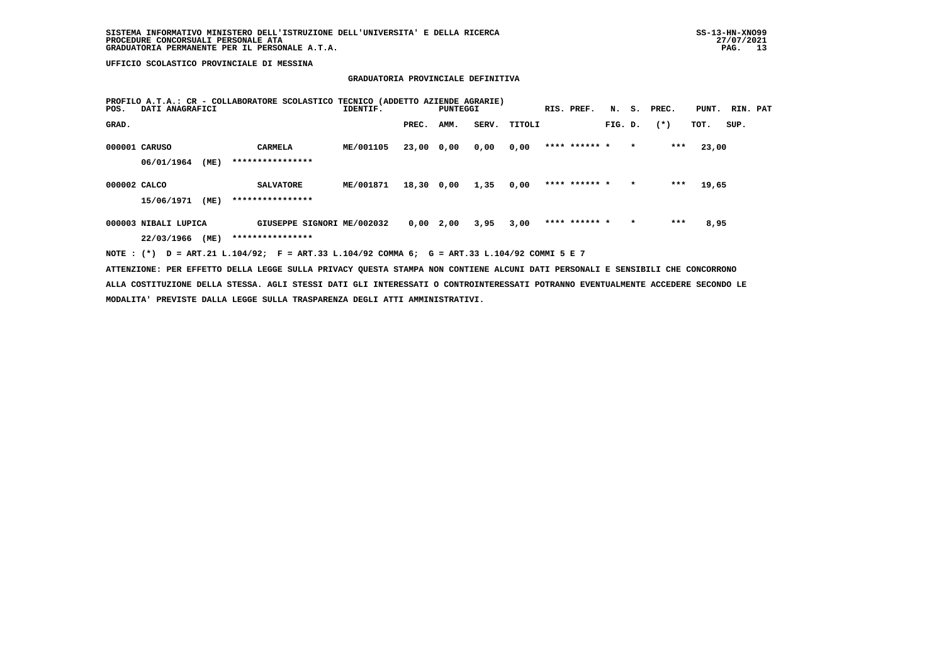# **GRADUATORIA PROVINCIALE DEFINITIVA**

| POS.         | DATI ANAGRAFICI      |      | PROFILO A.T.A.: CR - COLLABORATORE SCOLASTICO TECNICO (ADDETTO AZIENDE AGRARIE) | IDENTIF.  |            | PUNTEGGI |       |        | RIS. PREF.    | N.      | s.      | PREC. | PUNT. | RIN. PAT |  |
|--------------|----------------------|------|---------------------------------------------------------------------------------|-----------|------------|----------|-------|--------|---------------|---------|---------|-------|-------|----------|--|
| GRAD.        |                      |      |                                                                                 |           | PREC.      | AMM.     | SERV. | TITOLI |               | FIG. D. |         | $(*)$ | TOT.  | SUP.     |  |
|              | 000001 CARUSO        |      | <b>CARMELA</b>                                                                  | ME/001105 | 23,00      | 0,00     | 0,00  | 0,00   | **** ****** * |         | $\star$ | ***   | 23,00 |          |  |
|              | 06/01/1964           | (ME) | ****************                                                                |           |            |          |       |        |               |         |         |       |       |          |  |
| 000002 CALCO |                      |      | <b>SALVATORE</b>                                                                | ME/001871 | 18,30 0,00 |          | 1,35  | 0,00   | **** ****** * |         | $\star$ | $***$ | 19,65 |          |  |
|              | 15/06/1971           | (ME) | ****************                                                                |           |            |          |       |        |               |         |         |       |       |          |  |
|              | 000003 NIBALI LUPICA |      | GIUSEPPE SIGNORI ME/002032                                                      |           | 0,00       | 2,00     | 3,95  | 3,00   | **** ****** * |         | $\star$ | ***   | 8,95  |          |  |
|              | 22/03/1966           | (ME) | ****************                                                                |           |            |          |       |        |               |         |         |       |       |          |  |

 **NOTE : (\*) D = ART.21 L.104/92; F = ART.33 L.104/92 COMMA 6; G = ART.33 L.104/92 COMMI 5 E 7**

 **ATTENZIONE: PER EFFETTO DELLA LEGGE SULLA PRIVACY QUESTA STAMPA NON CONTIENE ALCUNI DATI PERSONALI E SENSIBILI CHE CONCORRONO ALLA COSTITUZIONE DELLA STESSA. AGLI STESSI DATI GLI INTERESSATI O CONTROINTERESSATI POTRANNO EVENTUALMENTE ACCEDERE SECONDO LE MODALITA' PREVISTE DALLA LEGGE SULLA TRASPARENZA DEGLI ATTI AMMINISTRATIVI.**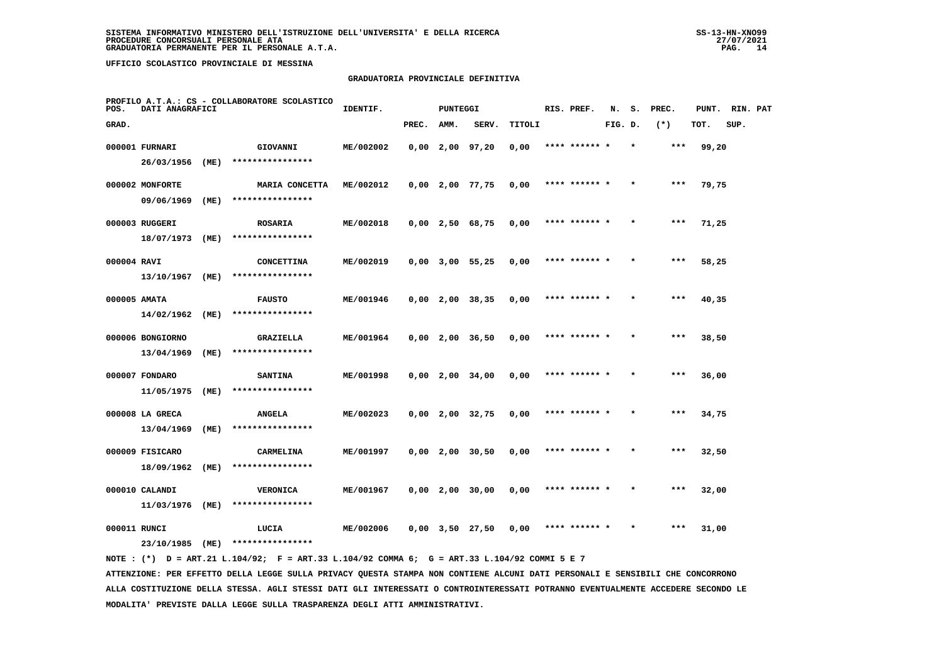#### **GRADUATORIA PROVINCIALE DEFINITIVA**

| POS.         | DATI ANAGRAFICI  |      | PROFILO A.T.A.: CS - COLLABORATORE SCOLASTICO | IDENTIF.  |       | PUNTEGGI |                       |        | RIS. PREF.    | N.      | s.      | PREC. | PUNT. | RIN. PAT |  |
|--------------|------------------|------|-----------------------------------------------|-----------|-------|----------|-----------------------|--------|---------------|---------|---------|-------|-------|----------|--|
| GRAD.        |                  |      |                                               |           | PREC. | AMM.     | SERV.                 | TITOLI |               | FIG. D. |         | $(*)$ | TOT.  | SUP.     |  |
|              | 000001 FURNARI   |      | GIOVANNI                                      | ME/002002 |       |          | $0,00$ 2,00 97,20     | 0,00   | **** ****** * |         | $\star$ | ***   | 99,20 |          |  |
|              | 26/03/1956       | (ME) | ****************                              |           |       |          |                       |        |               |         |         |       |       |          |  |
|              | 000002 MONFORTE  |      | MARIA CONCETTA                                | ME/002012 |       |          | $0,00$ 2,00 77,75     | 0,00   | **** ****** * |         |         | ***   | 79,75 |          |  |
|              | 09/06/1969       | (ME) | ****************                              |           |       |          |                       |        |               |         |         |       |       |          |  |
|              | 000003 RUGGERI   |      | <b>ROSARIA</b>                                | ME/002018 |       |          | $0,00$ 2,50 68,75     | 0,00   | **** ****** * |         |         | ***   | 71,25 |          |  |
|              | 18/07/1973       | (ME) | ****************                              |           |       |          |                       |        |               |         |         |       |       |          |  |
| 000004 RAVI  |                  |      | <b>CONCETTINA</b>                             | ME/002019 |       |          | $0,00$ 3,00 55,25     | 0,00   | **** ****** * |         |         | $***$ | 58,25 |          |  |
|              | 13/10/1967       | (ME) | ****************                              |           |       |          |                       |        |               |         |         |       |       |          |  |
| 000005 AMATA |                  |      | <b>FAUSTO</b>                                 | ME/001946 |       |          | $0,00$ 2,00 38,35     | 0,00   | **** ****** * |         |         | $***$ | 40,35 |          |  |
|              | 14/02/1962       | (ME) | ****************                              |           |       |          |                       |        |               |         |         |       |       |          |  |
|              | 000006 BONGIORNO |      | <b>GRAZIELLA</b>                              | ME/001964 |       |          | $0,00$ 2,00 36,50     | 0,00   | **** ****** * |         | $\star$ | $***$ | 38,50 |          |  |
|              | 13/04/1969       | (ME) | ****************                              |           |       |          |                       |        |               |         |         |       |       |          |  |
|              | 000007 FONDARO   |      | <b>SANTINA</b>                                | ME/001998 |       |          | $0,00$ 2,00 34,00     | 0,00   |               |         |         |       | 36,00 |          |  |
|              | 11/05/1975       | (ME) | ****************                              |           |       |          |                       |        |               |         |         |       |       |          |  |
|              | 000008 LA GRECA  |      | <b>ANGELA</b>                                 | ME/002023 |       |          | $0,00$ 2,00 32,75     | 0,00   | **** ****** * |         |         | $***$ | 34,75 |          |  |
|              | 13/04/1969       | (ME) | ****************                              |           |       |          |                       |        |               |         |         |       |       |          |  |
|              | 000009 FISICARO  |      | CARMELINA                                     | ME/001997 |       |          | $0,00$ 2,00 30,50     | 0,00   | **** ****** * |         |         | $***$ | 32,50 |          |  |
|              | 18/09/1962       | (ME) | ****************                              |           |       |          |                       |        |               |         |         |       |       |          |  |
|              | 000010 CALANDI   |      | <b>VERONICA</b>                               | ME/001967 |       |          | $0,00$ 2,00 30,00     | 0,00   | **** ****** * |         |         | $***$ | 32,00 |          |  |
|              | 11/03/1976       | (ME) | ****************                              |           |       |          |                       |        |               |         |         |       |       |          |  |
| 000011 RUNCI |                  |      | LUCIA<br>****************                     | ME/002006 |       |          | $0,00$ $3,50$ $27,50$ | 0,00   |               |         |         | ***   | 31,00 |          |  |
|              | 23/10/1985       | (ME) |                                               |           |       |          |                       |        |               |         |         |       |       |          |  |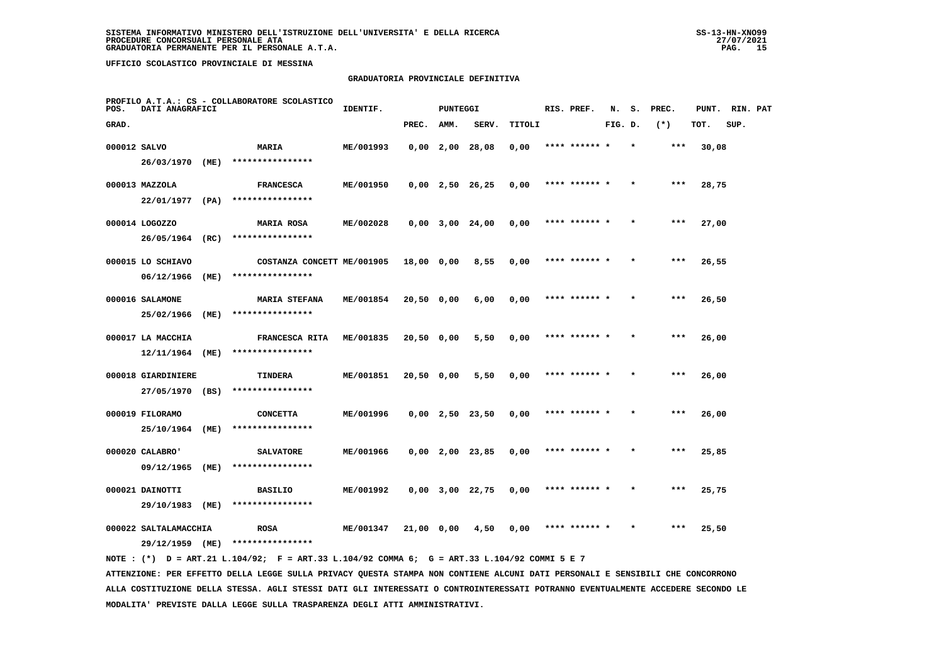#### **GRADUATORIA PROVINCIALE DEFINITIVA**

| POS.         | DATI ANAGRAFICI                       |      | PROFILO A.T.A.: CS - COLLABORATORE SCOLASTICO | IDENTIF.  |            | <b>PUNTEGGI</b> |                               |        | RIS. PREF.    | N.      | s.      | PREC. | PUNT. | RIN. PAT |  |
|--------------|---------------------------------------|------|-----------------------------------------------|-----------|------------|-----------------|-------------------------------|--------|---------------|---------|---------|-------|-------|----------|--|
| GRAD.        |                                       |      |                                               |           | PREC.      | AMM.            | SERV.                         | TITOLI |               | FIG. D. |         | $(*)$ | TOT.  | SUP.     |  |
| 000012 SALVO |                                       |      | <b>MARIA</b>                                  | ME/001993 |            |                 | $0,00$ $2,00$ $28,08$         | 0,00   | **** ****** * |         |         | ***   | 30,08 |          |  |
|              | 26/03/1970 (ME)                       |      | ****************                              |           |            |                 |                               |        |               |         |         |       |       |          |  |
|              | 000013 MAZZOLA                        |      | <b>FRANCESCA</b>                              | ME/001950 |            |                 | $0,00 \quad 2,50 \quad 26,25$ | 0,00   | **** ****** * |         |         | ***   | 28,75 |          |  |
|              | 22/01/1977 (PA)                       |      | ****************                              |           |            |                 |                               |        |               |         |         |       |       |          |  |
|              | 000014 LOGOZZO                        |      | <b>MARIA ROSA</b>                             | ME/002028 |            |                 | $0,00$ $3,00$ $24,00$         | 0,00   | **** ****** * |         |         | $***$ | 27,00 |          |  |
|              | 26/05/1964                            | (RC) | ****************                              |           |            |                 |                               |        |               |         |         |       |       |          |  |
|              | 000015 LO SCHIAVO                     |      | COSTANZA CONCETT ME/001905                    |           | 18,00 0,00 |                 | 8,55                          | 0,00   | **** ****** * |         | $\star$ | $***$ | 26,55 |          |  |
|              | 06/12/1966                            | (ME) | ****************                              |           |            |                 |                               |        |               |         |         |       |       |          |  |
|              | 000016 SALAMONE                       |      | <b>MARIA STEFANA</b>                          | ME/001854 | 20,50 0,00 |                 | 6,00                          | 0,00   | **** ****** * |         |         | ***   | 26,50 |          |  |
|              | 25/02/1966                            | (ME) | ****************                              |           |            |                 |                               |        |               |         |         |       |       |          |  |
|              | 000017 LA MACCHIA                     |      | FRANCESCA RITA                                | ME/001835 | 20,50 0,00 |                 | 5,50                          | 0,00   | **** ****** * |         |         | $***$ | 26,00 |          |  |
|              | 12/11/1964                            | (ME) | ****************                              |           |            |                 |                               |        |               |         |         |       |       |          |  |
|              | 000018 GIARDINIERE<br>27/05/1970 (BS) |      | TINDERA<br>****************                   | ME/001851 | 20,50 0,00 |                 | 5,50                          | 0,00   | **** ****** * |         |         | $***$ | 26,00 |          |  |
|              |                                       |      |                                               |           |            |                 |                               |        |               |         |         |       |       |          |  |
|              | 000019 FILORAMO<br>25/10/1964         | (ME) | <b>CONCETTA</b><br>****************           | ME/001996 |            |                 | $0,00$ 2,50 23,50             | 0,00   | **** ****** * |         |         | ***   | 26,00 |          |  |
|              |                                       |      |                                               |           |            |                 |                               |        |               |         |         |       |       |          |  |
|              | 000020 CALABRO'<br>09/12/1965         | (ME) | <b>SALVATORE</b><br>****************          | ME/001966 |            |                 | $0,00$ 2,00 23,85             | 0,00   | **** ****** * |         |         | ***   | 25,85 |          |  |
|              |                                       |      |                                               |           |            |                 |                               |        |               |         |         |       |       |          |  |
|              | 000021 DAINOTTI<br>29/10/1983         | (ME) | <b>BASILIO</b><br>****************            | ME/001992 |            |                 | $0,00$ $3,00$ $22,75$         | 0,00   | **** ****** * |         |         | ***   | 25,75 |          |  |
|              | 000022 SALTALAMACCHIA                 |      | <b>ROSA</b>                                   | ME/001347 | 21,00 0,00 |                 | 4,50                          | 0,00   | **** ****** * |         |         | $***$ | 25,50 |          |  |
|              | 29/12/1959 (ME)                       |      | ****************                              |           |            |                 |                               |        |               |         |         |       |       |          |  |
|              |                                       |      |                                               |           |            |                 |                               |        |               |         |         |       |       |          |  |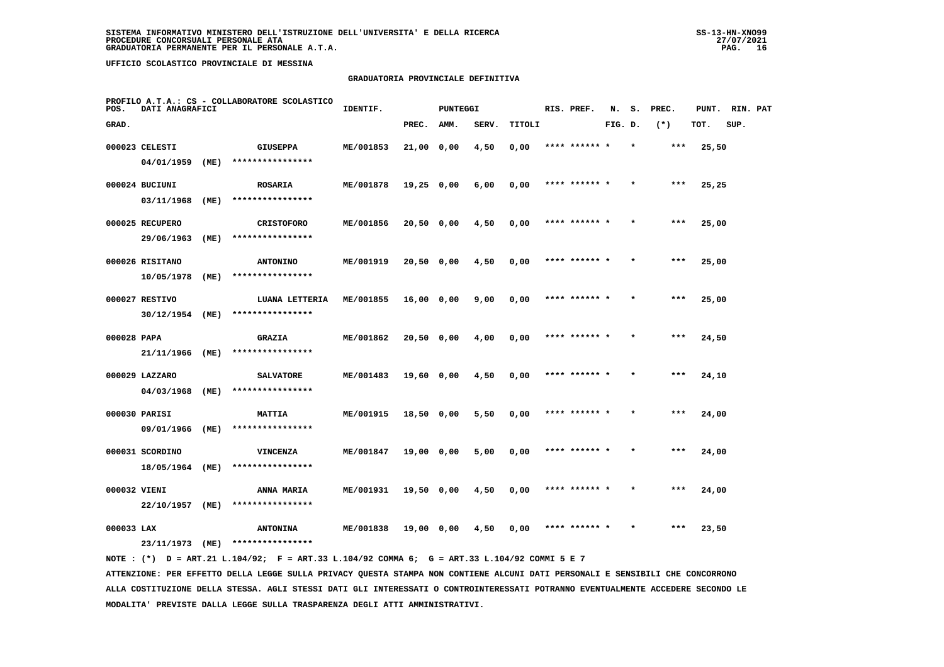#### **GRADUATORIA PROVINCIALE DEFINITIVA**

| POS.         | DATI ANAGRAFICI |      | PROFILO A.T.A.: CS - COLLABORATORE SCOLASTICO | IDENTIF.  |              | PUNTEGGI |       |        | RIS. PREF.    | N.      | s.      | PREC. | PUNT. | RIN. PAT |  |
|--------------|-----------------|------|-----------------------------------------------|-----------|--------------|----------|-------|--------|---------------|---------|---------|-------|-------|----------|--|
| GRAD.        |                 |      |                                               |           | PREC.        | AMM.     | SERV. | TITOLI |               | FIG. D. |         | $(*)$ | TOT.  | SUP.     |  |
|              | 000023 CELESTI  |      | <b>GIUSEPPA</b>                               | ME/001853 | 21,00 0,00   |          | 4,50  | 0,00   | **** ****** * |         | $\star$ | $***$ | 25,50 |          |  |
|              | 04/01/1959      | (ME) | ****************                              |           |              |          |       |        |               |         |         |       |       |          |  |
|              | 000024 BUCIUNI  |      | <b>ROSARIA</b>                                | ME/001878 | $19,25$ 0,00 |          | 6,00  | 0,00   | **** ****** * |         |         | ***   | 25,25 |          |  |
|              | 03/11/1968      | (ME) | ****************                              |           |              |          |       |        |               |         |         |       |       |          |  |
|              | 000025 RECUPERO |      | <b>CRISTOFORO</b>                             | ME/001856 | 20,50 0,00   |          | 4,50  | 0,00   | **** ****** * |         |         | ***   | 25,00 |          |  |
|              | 29/06/1963      | (ME) | ****************                              |           |              |          |       |        |               |         |         |       |       |          |  |
|              | 000026 RISITANO |      | <b>ANTONINO</b>                               | ME/001919 | 20,50 0,00   |          | 4,50  | 0,00   | **** ****** * |         |         | $***$ | 25,00 |          |  |
|              | 10/05/1978      | (ME) | ****************                              |           |              |          |       |        |               |         |         |       |       |          |  |
|              | 000027 RESTIVO  |      | LUANA LETTERIA                                | ME/001855 | 16,00 0,00   |          | 9,00  | 0,00   | **** ****** * |         |         | ***   | 25,00 |          |  |
|              | 30/12/1954 (ME) |      | ****************                              |           |              |          |       |        |               |         |         |       |       |          |  |
| 000028 PAPA  |                 |      | <b>GRAZIA</b>                                 | ME/001862 | 20,50 0,00   |          | 4,00  | 0,00   | **** ****** * |         | $\star$ | $***$ | 24,50 |          |  |
|              | 21/11/1966      | (ME) | ****************                              |           |              |          |       |        |               |         |         |       |       |          |  |
|              | 000029 LAZZARO  |      | <b>SALVATORE</b>                              | ME/001483 | 19,60 0,00   |          | 4,50  | 0,00   |               |         |         |       | 24,10 |          |  |
|              | 04/03/1968      | (ME) | ****************                              |           |              |          |       |        |               |         |         |       |       |          |  |
|              | 000030 PARISI   |      | <b>MATTIA</b>                                 | ME/001915 | 18,50 0,00   |          | 5,50  | 0,00   | **** ****** * |         |         | $***$ | 24,00 |          |  |
|              | 09/01/1966      | (ME) | ****************                              |           |              |          |       |        |               |         |         |       |       |          |  |
|              | 000031 SCORDINO |      | VINCENZA                                      | ME/001847 | 19,00 0,00   |          | 5,00  | 0,00   | **** ****** * |         | $\star$ | $***$ | 24,00 |          |  |
|              | 18/05/1964      | (ME) | ****************                              |           |              |          |       |        |               |         |         |       |       |          |  |
| 000032 VIENI |                 |      | ANNA MARIA                                    | ME/001931 | 19,50 0,00   |          | 4,50  | 0,00   | **** ****** * |         |         | $***$ | 24,00 |          |  |
|              | 22/10/1957      | (ME) | ****************                              |           |              |          |       |        |               |         |         |       |       |          |  |
| 000033 LAX   |                 |      | <b>ANTONINA</b>                               | ME/001838 | 19,00 0,00   |          | 4,50  | 0,00   |               |         |         | ***   | 23,50 |          |  |
|              | 23/11/1973      | (ME) | ****************                              |           |              |          |       |        |               |         |         |       |       |          |  |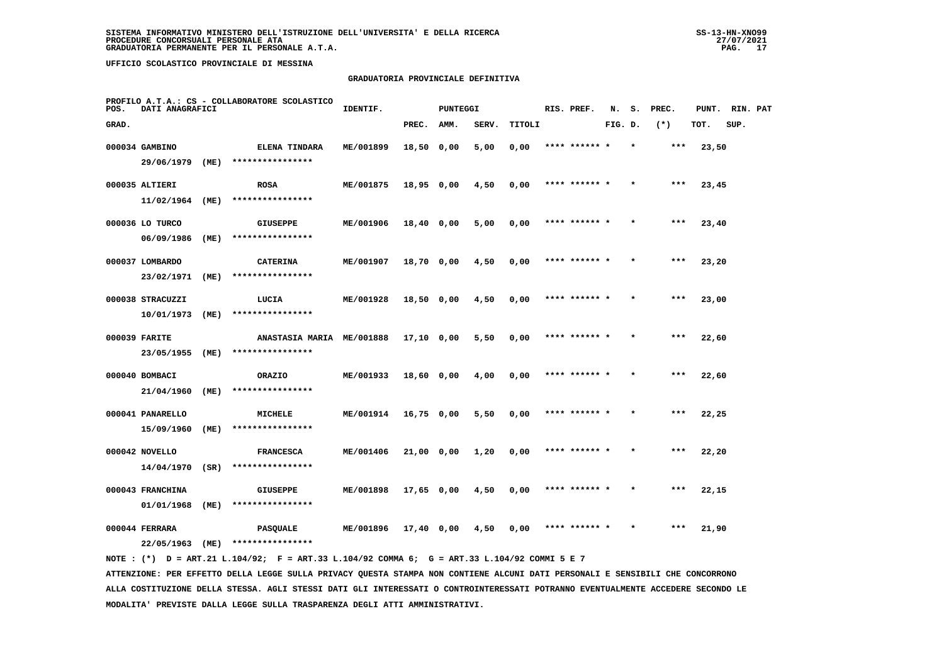#### **GRADUATORIA PROVINCIALE DEFINITIVA**

| POS.  | DATI ANAGRAFICI  |      | PROFILO A.T.A.: CS - COLLABORATORE SCOLASTICO | IDENTIF.  |              | <b>PUNTEGGI</b> |       |        | RIS. PREF.    | N.      | s. | PREC. | PUNT. | RIN. PAT |  |
|-------|------------------|------|-----------------------------------------------|-----------|--------------|-----------------|-------|--------|---------------|---------|----|-------|-------|----------|--|
| GRAD. |                  |      |                                               |           | PREC.        | AMM.            | SERV. | TITOLI |               | FIG. D. |    | $(*)$ | TOT.  | SUP.     |  |
|       | 000034 GAMBINO   |      | ELENA TINDARA                                 | ME/001899 | 18,50 0,00   |                 | 5,00  | 0,00   | **** ****** * |         |    | $***$ | 23,50 |          |  |
|       | 29/06/1979       | (ME) | ****************                              |           |              |                 |       |        |               |         |    |       |       |          |  |
|       | 000035 ALTIERI   |      | <b>ROSA</b>                                   | ME/001875 | 18,95 0,00   |                 | 4,50  | 0,00   | **** ****** * |         |    | $***$ | 23,45 |          |  |
|       | 11/02/1964 (ME)  |      | ****************                              |           |              |                 |       |        |               |         |    |       |       |          |  |
|       | 000036 LO TURCO  |      | <b>GIUSEPPE</b>                               | ME/001906 | 18,40 0,00   |                 | 5,00  | 0,00   | **** ****** * |         |    | ***   | 23,40 |          |  |
|       | 06/09/1986       | (ME) | ****************                              |           |              |                 |       |        |               |         |    |       |       |          |  |
|       | 000037 LOMBARDO  |      | <b>CATERINA</b>                               | ME/001907 | 18,70 0,00   |                 | 4,50  | 0,00   | **** ****** * |         |    | $***$ | 23,20 |          |  |
|       | 23/02/1971       | (ME) | ****************                              |           |              |                 |       |        |               |         |    |       |       |          |  |
|       | 000038 STRACUZZI |      | LUCIA                                         | ME/001928 | 18,50 0,00   |                 | 4,50  | 0,00   | **** ****** * |         |    | ***   | 23,00 |          |  |
|       | 10/01/1973       | (ME) | ****************                              |           |              |                 |       |        |               |         |    |       |       |          |  |
|       | 000039 FARITE    |      | ANASTASIA MARIA ME/001888                     |           | 17,10 0,00   |                 | 5,50  | 0,00   | **** ****** * |         |    | $***$ | 22,60 |          |  |
|       | 23/05/1955       | (ME) | ****************                              |           |              |                 |       |        |               |         |    |       |       |          |  |
|       | 000040 BOMBACI   |      | ORAZIO                                        | ME/001933 | 18,60 0,00   |                 | 4,00  | 0,00   | **** ******   |         |    | ***   | 22,60 |          |  |
|       | 21/04/1960       | (ME) | ****************                              |           |              |                 |       |        |               |         |    |       |       |          |  |
|       | 000041 PANARELLO |      | <b>MICHELE</b>                                | ME/001914 | $16,75$ 0,00 |                 | 5,50  | 0,00   | **** ****** * |         |    | $***$ | 22,25 |          |  |
|       | 15/09/1960       | (ME) | ****************                              |           |              |                 |       |        |               |         |    |       |       |          |  |
|       | 000042 NOVELLO   |      | <b>FRANCESCA</b>                              | ME/001406 | 21,00 0,00   |                 | 1,20  | 0,00   | **** ****** * |         |    | $***$ | 22,20 |          |  |
|       | 14/04/1970       | (SR) | ****************                              |           |              |                 |       |        |               |         |    |       |       |          |  |
|       | 000043 FRANCHINA |      | <b>GIUSEPPE</b><br>****************           | ME/001898 | 17,65 0,00   |                 | 4,50  | 0,00   | **** ****** * |         |    | ***   | 22,15 |          |  |
|       | 01/01/1968       | (ME) |                                               |           |              |                 |       |        |               |         |    |       |       |          |  |
|       | 000044 FERRARA   |      | <b>PASQUALE</b>                               | ME/001896 | 17,40 0,00   |                 | 4,50  | 0,00   | **** ****** * |         |    | ***   | 21,90 |          |  |
|       | 22/05/1963       | (ME) | ****************                              |           |              |                 |       |        |               |         |    |       |       |          |  |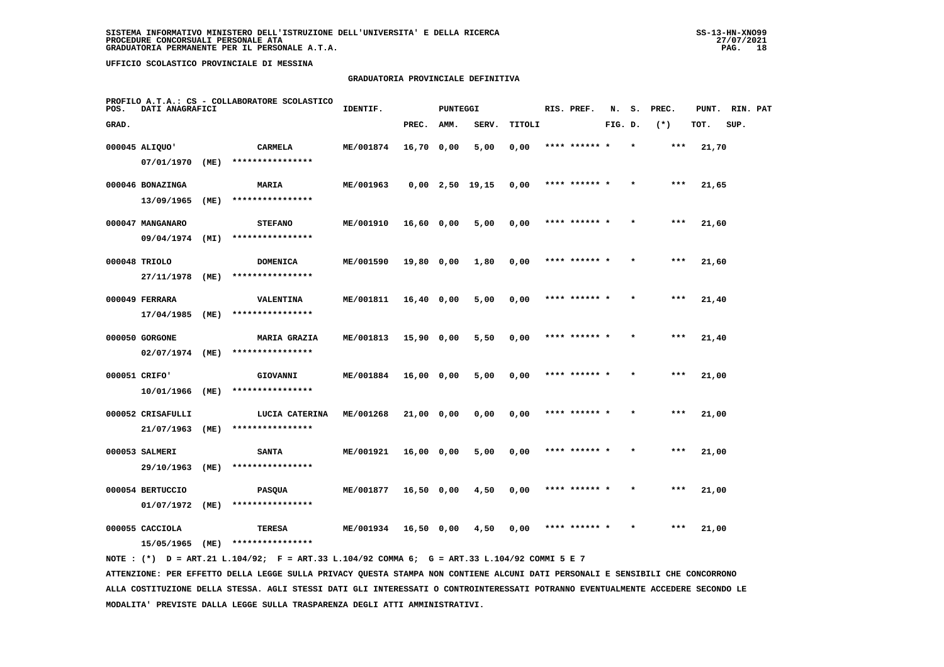#### **GRADUATORIA PROVINCIALE DEFINITIVA**

| POS.  | DATI ANAGRAFICI   |      | PROFILO A.T.A.: CS - COLLABORATORE SCOLASTICO | IDENTIF.         |              | <b>PUNTEGGI</b> |                   |        | RIS. PREF.    | N.      | s.      | PREC. | PUNT. | RIN. PAT |  |
|-------|-------------------|------|-----------------------------------------------|------------------|--------------|-----------------|-------------------|--------|---------------|---------|---------|-------|-------|----------|--|
| GRAD. |                   |      |                                               |                  | PREC.        | AMM.            | SERV.             | TITOLI |               | FIG. D. |         | $(*)$ | TOT.  | SUP.     |  |
|       | 000045 ALIQUO'    |      | CARMELA                                       | ME/001874        | 16,70 0,00   |                 | 5,00              | 0,00   | **** ****** * |         | $\star$ | ***   | 21,70 |          |  |
|       | 07/01/1970        | (ME) | ****************                              |                  |              |                 |                   |        |               |         |         |       |       |          |  |
|       | 000046 BONAZINGA  |      | MARIA                                         | ME/001963        |              |                 | $0,00$ 2,50 19,15 | 0,00   | **** ******   |         |         | ***   | 21,65 |          |  |
|       | 13/09/1965        | (ME) | ****************                              |                  |              |                 |                   |        |               |         |         |       |       |          |  |
|       | 000047 MANGANARO  |      | <b>STEFANO</b>                                | ME/001910        | $16,60$ 0,00 |                 | 5,00              | 0,00   | **** ****** * |         |         | $***$ | 21,60 |          |  |
|       | 09/04/1974        | (MI) | ****************                              |                  |              |                 |                   |        |               |         |         |       |       |          |  |
|       | 000048 TRIOLO     |      | <b>DOMENICA</b>                               | ME/001590        | 19,80 0,00   |                 | 1,80              | 0,00   | **** ****** * |         |         | ***   | 21,60 |          |  |
|       | 27/11/1978        | (ME) | ****************                              |                  |              |                 |                   |        |               |         |         |       |       |          |  |
|       | 000049 FERRARA    |      | VALENTINA                                     | ME/001811        | $16,40$ 0,00 |                 | 5,00              | 0,00   | **** ****** * |         |         | $***$ | 21,40 |          |  |
|       | 17/04/1985        | (ME) | ****************                              |                  |              |                 |                   |        |               |         |         |       |       |          |  |
|       | 000050 GORGONE    |      | <b>MARIA GRAZIA</b>                           | ME/001813        | 15,90 0,00   |                 | 5,50              | 0,00   | **** ****** * |         |         | $***$ | 21,40 |          |  |
|       | 02/07/1974 (ME)   |      | ****************                              |                  |              |                 |                   |        |               |         |         |       |       |          |  |
|       | 000051 CRIFO'     |      | GIOVANNI                                      | ME/001884        | 16,00 0,00   |                 | 5,00              | 0,00   | **** ****** * |         |         | $***$ | 21,00 |          |  |
|       | 10/01/1966        | (ME) | ****************                              |                  |              |                 |                   |        |               |         |         |       |       |          |  |
|       | 000052 CRISAFULLI |      | LUCIA CATERINA                                | ME/001268        | 21,00 0,00   |                 | 0,00              | 0,00   | **** ******   |         |         | ***   | 21,00 |          |  |
|       | 21/07/1963        | (ME) | ****************                              |                  |              |                 |                   |        |               |         |         |       |       |          |  |
|       | 000053 SALMERI    |      | <b>SANTA</b>                                  | ME/001921        | 16,00 0,00   |                 | 5,00              | 0,00   | **** ****** * |         |         | $***$ | 21,00 |          |  |
|       | 29/10/1963        | (ME) | ****************                              |                  |              |                 |                   |        |               |         |         |       |       |          |  |
|       | 000054 BERTUCCIO  |      | <b>PASQUA</b>                                 | ME/001877        | 16,50 0,00   |                 | 4,50              | 0,00   | **** ****** * |         |         | $***$ | 21,00 |          |  |
|       | 01/07/1972        | (ME) | ****************                              |                  |              |                 |                   |        |               |         |         |       |       |          |  |
|       | 000055 CACCIOLA   |      | TERESA                                        | <b>ME/001934</b> | 16,50 0,00   |                 | 4,50              | 0,00   | **** ****** * |         |         | ***   | 21,00 |          |  |
|       | 15/05/1965        | (ME) | ****************                              |                  |              |                 |                   |        |               |         |         |       |       |          |  |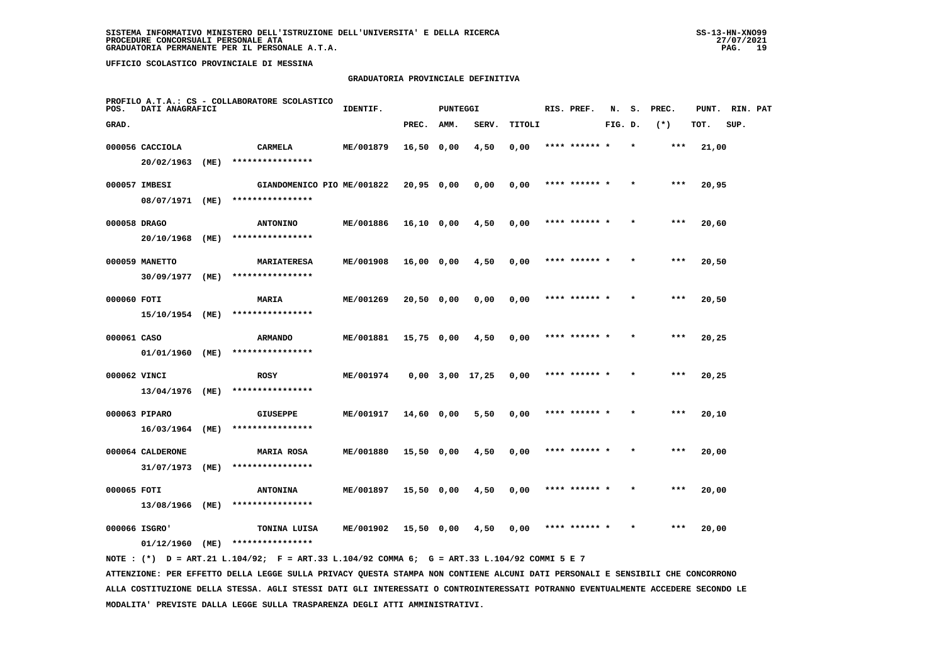#### **GRADUATORIA PROVINCIALE DEFINITIVA**

| POS.         | DATI ANAGRAFICI                |      | PROFILO A.T.A.: CS - COLLABORATORE SCOLASTICO | IDENTIF.         |            | <b>PUNTEGGI</b> |                   |        | RIS. PREF.    | N.      | s.      | PREC. | PUNT. | RIN. PAT |  |
|--------------|--------------------------------|------|-----------------------------------------------|------------------|------------|-----------------|-------------------|--------|---------------|---------|---------|-------|-------|----------|--|
| GRAD.        |                                |      |                                               |                  | PREC.      | AMM.            | SERV.             | TITOLI |               | FIG. D. |         | $(*)$ | TOT.  | SUP.     |  |
|              | 000056 CACCIOLA                |      | CARMELA                                       | ME/001879        | 16,50 0,00 |                 | 4,50              | 0,00   | **** ****** * |         | $\star$ | ***   | 21,00 |          |  |
|              | 20/02/1963                     | (ME) | ****************                              |                  |            |                 |                   |        |               |         |         |       |       |          |  |
|              | 000057 IMBESI                  |      | GIANDOMENICO PIO ME/001822                    |                  | 20,95 0,00 |                 | 0,00              | 0,00   | **** ****** * |         |         | ***   | 20,95 |          |  |
|              | 08/07/1971 (ME)                |      | ****************                              |                  |            |                 |                   |        |               |         |         |       |       |          |  |
| 000058 DRAGO |                                |      | <b>ANTONINO</b>                               | ME/001886        | 16,10 0,00 |                 | 4,50              | 0,00   | **** ****** * |         |         | $***$ | 20,60 |          |  |
|              | 20/10/1968                     | (ME) | ****************                              |                  |            |                 |                   |        |               |         |         |       |       |          |  |
|              | 000059 MANETTO                 |      | <b>MARIATERESA</b>                            | ME/001908        | 16,00 0,00 |                 | 4,50              | 0,00   | **** ****** * |         |         | $***$ | 20,50 |          |  |
|              | 30/09/1977                     | (ME) | ****************                              |                  |            |                 |                   |        |               |         |         |       |       |          |  |
| 000060 FOTI  |                                |      | <b>MARIA</b>                                  | ME/001269        | 20,50 0,00 |                 | 0,00              | 0,00   | **** ****** * |         |         | $***$ | 20,50 |          |  |
|              | 15/10/1954 (ME)                |      | ****************                              |                  |            |                 |                   |        |               |         |         |       |       |          |  |
| 000061 CASO  |                                |      | <b>ARMANDO</b>                                | ME/001881        | 15,75 0,00 |                 | 4,50              | 0,00   | **** ****** * |         |         | ***   | 20,25 |          |  |
|              | 01/01/1960 (ME)                |      | ****************                              |                  |            |                 |                   |        |               |         |         |       |       |          |  |
| 000062 VINCI |                                |      | <b>ROSY</b>                                   | ME/001974        |            |                 | $0.00$ 3.00 17.25 | 0,00   | **** ******   |         |         | ***   | 20,25 |          |  |
|              | 13/04/1976 (ME)                |      | ****************                              |                  |            |                 |                   |        |               |         |         |       |       |          |  |
|              | 000063 PIPARO                  |      | <b>GIUSEPPE</b><br>****************           | ME/001917        | 14,60 0,00 |                 | 5,50              | 0,00   | **** ****** * |         |         | $***$ | 20,10 |          |  |
|              | 16/03/1964                     | (ME) |                                               |                  |            |                 |                   |        |               |         |         |       |       |          |  |
|              | 000064 CALDERONE<br>31/07/1973 | (ME) | <b>MARIA ROSA</b><br>****************         | ME/001880        | 15,50 0,00 |                 | 4,50              | 0,00   | **** ****** * |         |         | ***   | 20,00 |          |  |
|              |                                |      |                                               |                  |            |                 |                   |        |               |         |         |       |       |          |  |
| 000065 FOTI  | 13/08/1966 (ME)                |      | <b>ANTONINA</b><br>****************           | ME/001897        | 15,50 0,00 |                 | 4,50              | 0,00   | **** ****** * |         |         | $***$ | 20,00 |          |  |
|              |                                |      |                                               |                  |            |                 |                   |        |               |         |         |       |       |          |  |
|              | 000066 ISGRO'<br>01/12/1960    | (ME) | TONINA LUISA<br>****************              | <b>ME/001902</b> | 15,50 0,00 |                 | 4,50              | 0,00   |               |         |         | ***   | 20,00 |          |  |
|              |                                |      |                                               |                  |            |                 |                   |        |               |         |         |       |       |          |  |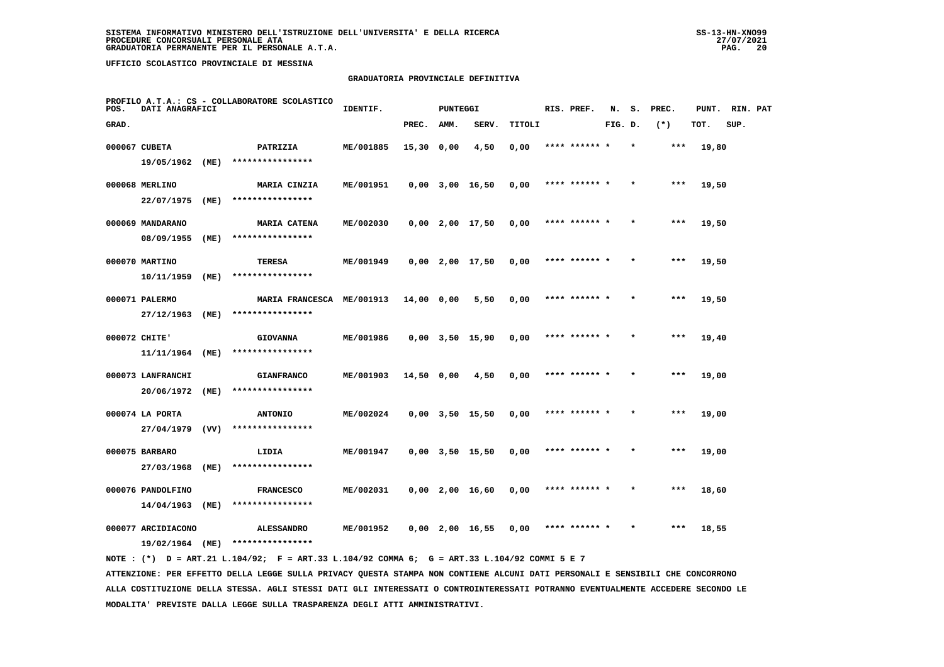## **GRADUATORIA PROVINCIALE DEFINITIVA**

| POS.  | DATI ANAGRAFICI                       |      | PROFILO A.T.A.: CS - COLLABORATORE SCOLASTICO | IDENTIF.  |            | <b>PUNTEGGI</b> |                       |        | RIS. PREF.    | N.      | s.      | PREC. | PUNT. | RIN. PAT |  |
|-------|---------------------------------------|------|-----------------------------------------------|-----------|------------|-----------------|-----------------------|--------|---------------|---------|---------|-------|-------|----------|--|
| GRAD. |                                       |      |                                               |           | PREC.      | AMM.            | SERV.                 | TITOLI |               | FIG. D. |         | $(*)$ | TOT.  | SUP.     |  |
|       | 000067 CUBETA                         |      | PATRIZIA                                      | ME/001885 | 15,30 0,00 |                 | 4,50                  | 0,00   | **** ****** * |         | $\star$ | ***   | 19,80 |          |  |
|       | 19/05/1962                            | (ME) | ****************                              |           |            |                 |                       |        |               |         |         |       |       |          |  |
|       | 000068 MERLINO                        |      | MARIA CINZIA                                  | ME/001951 |            |                 | $0,00$ 3,00 16,50     | 0,00   | **** ******   |         |         | ***   | 19,50 |          |  |
|       | 22/07/1975                            | (ME) | ****************                              |           |            |                 |                       |        |               |         |         |       |       |          |  |
|       | 000069 MANDARANO                      |      | <b>MARIA CATENA</b>                           | ME/002030 |            |                 | $0,00$ 2,00 17,50     | 0,00   | **** ****** * |         |         | ***   | 19,50 |          |  |
|       | 08/09/1955                            | (ME) | ****************                              |           |            |                 |                       |        |               |         |         |       |       |          |  |
|       | 000070 MARTINO                        |      | TERESA                                        | ME/001949 |            |                 | $0,00$ 2,00 17,50     | 0,00   | **** ****** * |         |         | ***   | 19,50 |          |  |
|       | 10/11/1959                            | (ME) | ****************                              |           |            |                 |                       |        |               |         |         |       |       |          |  |
|       | 000071 PALERMO                        |      | MARIA FRANCESCA ME/001913                     |           | 14,00 0,00 |                 | 5,50                  | 0,00   | **** ****** * |         |         | ***   | 19,50 |          |  |
|       | 27/12/1963                            | (ME) | ****************                              |           |            |                 |                       |        |               |         |         |       |       |          |  |
|       | 000072 CHITE'                         |      | <b>GIOVANNA</b>                               | ME/001986 |            |                 | $0,00$ $3,50$ $15,90$ | 0,00   | **** ****** * |         |         | ***   | 19,40 |          |  |
|       | 11/11/1964                            | (ME) | ****************                              |           |            |                 |                       |        |               |         |         |       |       |          |  |
|       | 000073 LANFRANCHI<br>20/06/1972       | (ME) | <b>GIANFRANCO</b><br>****************         | ME/001903 | 14,50 0,00 |                 | 4,50                  | 0,00   | **** ****** * |         |         | ***   | 19,00 |          |  |
|       |                                       |      |                                               |           |            |                 |                       |        |               |         |         |       |       |          |  |
|       | 000074 LA PORTA<br>27/04/1979         | (VV) | <b>ANTONIO</b><br>****************            | ME/002024 |            |                 | $0,00$ $3,50$ $15,50$ | 0,00   |               |         |         |       | 19,00 |          |  |
|       |                                       |      |                                               |           |            |                 |                       |        |               |         |         |       |       |          |  |
|       | 000075 BARBARO<br>27/03/1968          | (ME) | LIDIA<br>****************                     | ME/001947 |            |                 | $0,00$ $3,50$ $15,50$ | 0,00   | **** ****** * |         |         | $***$ | 19,00 |          |  |
|       |                                       |      |                                               |           |            |                 |                       |        |               |         |         |       |       |          |  |
|       | 000076 PANDOLFINO<br>14/04/1963       | (ME) | <b>FRANCESCO</b><br>****************          | ME/002031 |            |                 | $0,00$ 2,00 16,60     | 0,00   | **** ****** * |         |         | ***   | 18,60 |          |  |
|       |                                       |      |                                               |           |            |                 |                       |        | **** ****** * |         |         | ***   |       |          |  |
|       | 000077 ARCIDIACONO<br>19/02/1964 (ME) |      | <b>ALESSANDRO</b><br>****************         | ME/001952 |            |                 | $0,00$ 2,00 16,55     | 0,00   |               |         |         |       | 18,55 |          |  |
|       |                                       |      |                                               |           |            |                 |                       |        |               |         |         |       |       |          |  |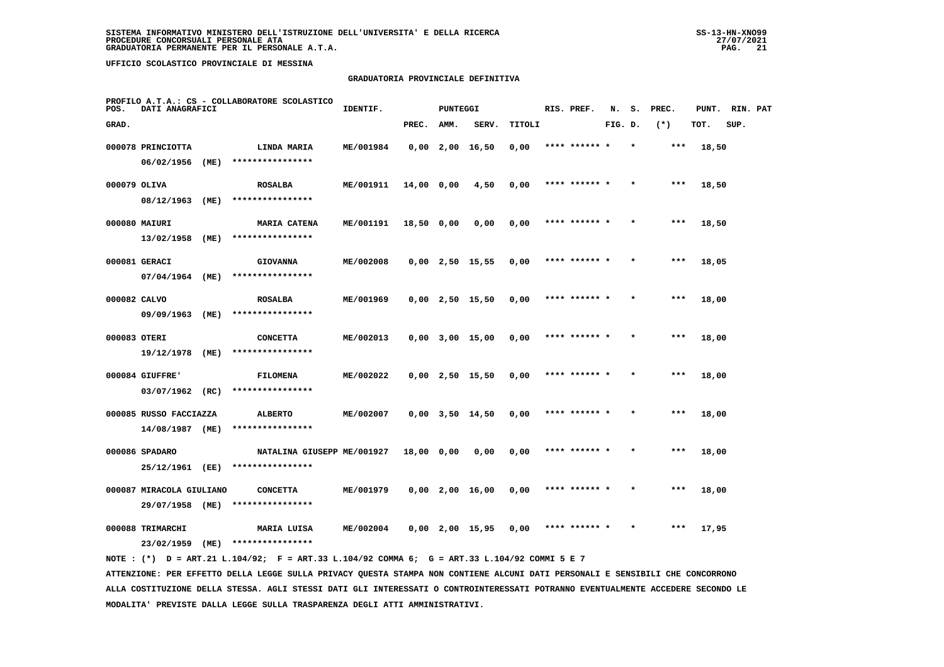# **GRADUATORIA PROVINCIALE DEFINITIVA**

| POS.         | DATI ANAGRAFICI          |      | PROFILO A.T.A.: CS - COLLABORATORE SCOLASTICO                                               | IDENTIF.  |            | <b>PUNTEGGI</b> |                       |        | RIS. PREF.    | N.      | s.      | PREC.  | PUNT. | RIN. PAT |  |
|--------------|--------------------------|------|---------------------------------------------------------------------------------------------|-----------|------------|-----------------|-----------------------|--------|---------------|---------|---------|--------|-------|----------|--|
| GRAD.        |                          |      |                                                                                             |           | PREC.      | AMM.            | SERV.                 | TITOLI |               | FIG. D. |         | $(* )$ | TOT.  | SUP.     |  |
|              | 000078 PRINCIOTTA        |      | LINDA MARIA                                                                                 | ME/001984 |            |                 | $0,00$ 2,00 16,50     | 0,00   | **** ****** * |         | $\star$ | ***    | 18,50 |          |  |
|              | 06/02/1956 (ME)          |      | ****************                                                                            |           |            |                 |                       |        |               |         |         |        |       |          |  |
| 000079 OLIVA |                          |      | <b>ROSALBA</b>                                                                              | ME/001911 | 14,00 0,00 |                 | 4,50                  | 0,00   | **** ****** * |         |         | $***$  | 18,50 |          |  |
|              | 08/12/1963 (ME)          |      | ****************                                                                            |           |            |                 |                       |        |               |         |         |        |       |          |  |
|              | 000080 MAIURI            |      | <b>MARIA CATENA</b>                                                                         | ME/001191 | 18,50 0,00 |                 | 0,00                  | 0,00   | **** ****** * |         |         | $***$  | 18,50 |          |  |
|              | 13/02/1958 (ME)          |      | ****************                                                                            |           |            |                 |                       |        |               |         |         |        |       |          |  |
|              | 000081 GERACI            |      | <b>GIOVANNA</b>                                                                             | ME/002008 |            |                 | $0,00$ 2,50 15,55     | 0,00   | **** ******   |         |         | ***    | 18,05 |          |  |
|              | 07/04/1964 (ME)          |      | ****************                                                                            |           |            |                 |                       |        |               |         |         |        |       |          |  |
| 000082 CALVO |                          |      | <b>ROSALBA</b>                                                                              | ME/001969 |            |                 | $0,00$ 2,50 15,50     | 0,00   | **** ****** * |         |         | ***    | 18,00 |          |  |
|              | 09/09/1963 (ME)          |      | ****************                                                                            |           |            |                 |                       |        |               |         |         |        |       |          |  |
| 000083 OTERI |                          |      | <b>CONCETTA</b>                                                                             | ME/002013 |            |                 | $0,00$ $3,00$ $15,00$ | 0,00   | **** ****** * |         |         | $***$  | 18,00 |          |  |
|              | 19/12/1978               | (ME) | ****************                                                                            |           |            |                 |                       |        |               |         |         |        |       |          |  |
|              | 000084 GIUFFRE'          |      | FILOMENA                                                                                    | ME/002022 |            |                 | $0,00$ 2,50 15,50     | 0,00   | **** ****** * |         |         | $***$  | 18,00 |          |  |
|              | $03/07/1962$ (RC)        |      | ****************                                                                            |           |            |                 |                       |        |               |         |         |        |       |          |  |
|              | 000085 RUSSO FACCIAZZA   |      | <b>ALBERTO</b>                                                                              | ME/002007 |            |                 | $0,00$ $3,50$ $14,50$ | 0,00   | **** ****** * |         |         | ***    | 18,00 |          |  |
|              | 14/08/1987 (ME)          |      | ****************                                                                            |           |            |                 |                       |        |               |         |         |        |       |          |  |
|              | 000086 SPADARO           |      | NATALINA GIUSEPP ME/001927                                                                  |           | 18,00 0,00 |                 | 0,00                  | 0,00   | **** ****** * |         |         | ***    | 18,00 |          |  |
|              | 25/12/1961 (EE)          |      | ****************                                                                            |           |            |                 |                       |        |               |         |         |        |       |          |  |
|              | 000087 MIRACOLA GIULIANO |      | <b>CONCETTA</b>                                                                             | ME/001979 |            |                 | $0,00$ 2,00 16,00     | 0,00   | **** ****** * |         |         | ***    | 18,00 |          |  |
|              | 29/07/1958 (ME)          |      | ****************                                                                            |           |            |                 |                       |        |               |         |         |        |       |          |  |
|              | 000088 TRIMARCHI         |      | MARIA LUISA                                                                                 | ME/002004 |            |                 | $0,00$ 2,00 15,95     | 0,00   | **** ****** * |         |         | ***    | 17,95 |          |  |
|              | 23/02/1959 (ME)          |      | ****************                                                                            |           |            |                 |                       |        |               |         |         |        |       |          |  |
|              |                          |      | NOTE: (*) D = ART.21 L.104/92; F = ART.33 L.104/92 COMMA 6; G = ART.33 L.104/92 COMMI 5 E 7 |           |            |                 |                       |        |               |         |         |        |       |          |  |

 **ATTENZIONE: PER EFFETTO DELLA LEGGE SULLA PRIVACY QUESTA STAMPA NON CONTIENE ALCUNI DATI PERSONALI E SENSIBILI CHE CONCORRONO ALLA COSTITUZIONE DELLA STESSA. AGLI STESSI DATI GLI INTERESSATI O CONTROINTERESSATI POTRANNO EVENTUALMENTE ACCEDERE SECONDO LE MODALITA' PREVISTE DALLA LEGGE SULLA TRASPARENZA DEGLI ATTI AMMINISTRATIVI.**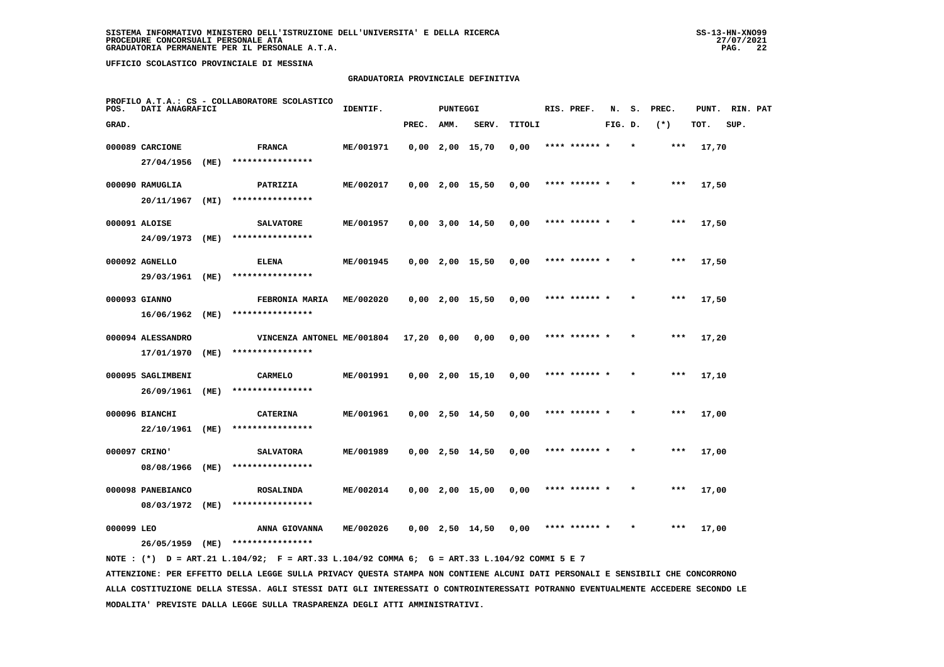#### **GRADUATORIA PROVINCIALE DEFINITIVA**

| POS.       | DATI ANAGRAFICI                 |      | PROFILO A.T.A.: CS - COLLABORATORE SCOLASTICO | IDENTIF.  |              | <b>PUNTEGGI</b> |                       |        | RIS. PREF.    | N.      | s. | PREC. | PUNT. | RIN. PAT |  |
|------------|---------------------------------|------|-----------------------------------------------|-----------|--------------|-----------------|-----------------------|--------|---------------|---------|----|-------|-------|----------|--|
| GRAD.      |                                 |      |                                               |           | PREC.        | AMM.            | SERV.                 | TITOLI |               | FIG. D. |    | $(*)$ | TOT.  | SUP.     |  |
|            | 000089 CARCIONE                 |      | <b>FRANCA</b>                                 | ME/001971 |              |                 | $0,00$ 2,00 15,70     | 0,00   | **** ****** * |         |    | $***$ | 17,70 |          |  |
|            | 27/04/1956                      | (ME) | ****************                              |           |              |                 |                       |        |               |         |    |       |       |          |  |
|            | 000090 RAMUGLIA                 |      | PATRIZIA                                      | ME/002017 |              |                 | $0,00$ 2,00 15,50     | 0,00   | **** ****** * |         |    | ***   | 17,50 |          |  |
|            | 20/11/1967                      | (MI) | ****************                              |           |              |                 |                       |        |               |         |    |       |       |          |  |
|            | 000091 ALOISE                   |      | <b>SALVATORE</b>                              | ME/001957 |              |                 | $0,00$ $3,00$ $14,50$ | 0,00   | **** ****** * |         |    | $***$ | 17,50 |          |  |
|            | 24/09/1973                      | (ME) | ****************                              |           |              |                 |                       |        |               |         |    |       |       |          |  |
|            | 000092 AGNELLO                  |      | <b>ELENA</b>                                  | ME/001945 |              |                 | $0,00$ 2,00 15,50     | 0,00   | **** ****** * |         |    | ***   | 17,50 |          |  |
|            | 29/03/1961                      | (ME) | ****************                              |           |              |                 |                       |        |               |         |    |       |       |          |  |
|            | 000093 GIANNO                   |      | FEBRONIA MARIA                                | ME/002020 |              |                 | $0,00$ 2,00 15,50     | 0,00   | **** ****** * |         |    | $***$ | 17,50 |          |  |
|            | 16/06/1962                      | (ME) | ****************                              |           |              |                 |                       |        |               |         |    |       |       |          |  |
|            | 000094 ALESSANDRO               |      | VINCENZA ANTONEL ME/001804                    |           | $17,20$ 0,00 |                 | 0,00                  | 0,00   | **** ****** * |         |    | $***$ | 17,20 |          |  |
|            | 17/01/1970                      | (ME) | ****************                              |           |              |                 |                       |        |               |         |    |       |       |          |  |
|            | 000095 SAGLIMBENI               |      | CARMELO                                       | ME/001991 |              |                 | $0,00$ 2,00 15,10     | 0,00   | **** ****** * |         |    | ***   | 17,10 |          |  |
|            | 26/09/1961                      | (ME) | ****************                              |           |              |                 |                       |        |               |         |    |       |       |          |  |
|            | 000096 BIANCHI                  |      | <b>CATERINA</b><br>****************           | ME/001961 |              |                 | $0,00$ 2,50 14,50     | 0,00   | **** ******   |         |    | ***   | 17,00 |          |  |
|            | 22/10/1961 (ME)                 |      |                                               |           |              |                 |                       |        |               |         |    |       |       |          |  |
|            | 000097 CRINO'<br>08/08/1966     | (ME) | <b>SALVATORA</b><br>****************          | ME/001989 |              |                 | $0,00$ 2,50 14,50     | 0,00   | **** ****** * |         |    | ***   | 17,00 |          |  |
|            |                                 |      |                                               |           |              |                 |                       |        |               |         |    |       |       |          |  |
|            | 000098 PANEBIANCO<br>08/03/1972 | (ME) | <b>ROSALINDA</b><br>****************          | ME/002014 |              |                 | $0,00$ 2,00 15,00     | 0,00   | **** ****** * |         |    | ***   | 17,00 |          |  |
|            |                                 |      |                                               |           |              |                 |                       |        |               |         |    |       |       |          |  |
| 000099 LEO | 26/05/1959                      | (ME) | ANNA GIOVANNA<br>****************             | ME/002026 |              |                 | $0,00$ 2,50 14,50     | 0,00   | **** ****** * |         |    | ***   | 17,00 |          |  |
|            |                                 |      |                                               |           |              |                 |                       |        |               |         |    |       |       |          |  |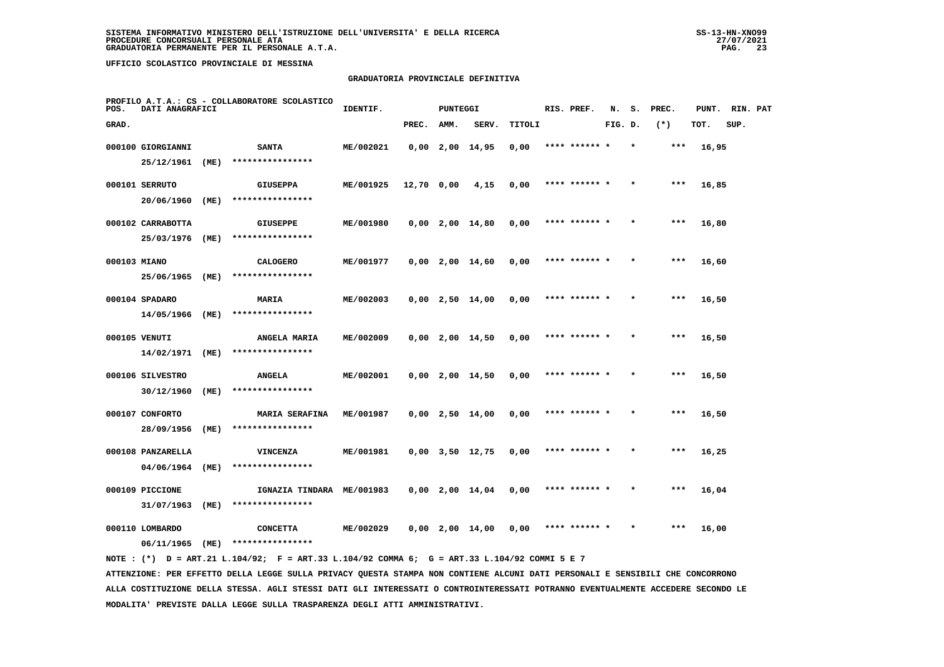## **GRADUATORIA PROVINCIALE DEFINITIVA**

| POS.         | DATI ANAGRAFICI   |      | PROFILO A.T.A.: CS - COLLABORATORE SCOLASTICO                                               | IDENTIF.  |            | <b>PUNTEGGI</b> |                       |        | RIS. PREF.    | N.      | s. | PREC. | PUNT. | RIN. PAT |  |
|--------------|-------------------|------|---------------------------------------------------------------------------------------------|-----------|------------|-----------------|-----------------------|--------|---------------|---------|----|-------|-------|----------|--|
| GRAD.        |                   |      |                                                                                             |           | PREC.      | AMM.            | SERV.                 | TITOLI |               | FIG. D. |    | $(*)$ | TOT.  | SUP.     |  |
|              | 000100 GIORGIANNI |      | <b>SANTA</b>                                                                                | ME/002021 |            |                 | $0,00$ 2,00 14,95     | 0,00   | **** ****** * |         |    | $***$ | 16,95 |          |  |
|              | 25/12/1961 (ME)   |      | ****************                                                                            |           |            |                 |                       |        |               |         |    |       |       |          |  |
|              | 000101 SERRUTO    |      | <b>GIUSEPPA</b>                                                                             | ME/001925 | 12,70 0,00 |                 | 4,15                  | 0,00   | **** ****** * |         |    | ***   | 16,85 |          |  |
|              | 20/06/1960        | (ME) | ****************                                                                            |           |            |                 |                       |        |               |         |    |       |       |          |  |
|              | 000102 CARRABOTTA |      | <b>GIUSEPPE</b>                                                                             | ME/001980 |            |                 | $0,00$ 2,00 14,80     | 0,00   | **** ****** * |         |    | $***$ | 16,80 |          |  |
|              | 25/03/1976        | (ME) | ****************                                                                            |           |            |                 |                       |        |               |         |    |       |       |          |  |
| 000103 MIANO |                   |      | <b>CALOGERO</b>                                                                             | ME/001977 |            |                 | $0,00$ 2,00 14,60     | 0,00   | **** ******   |         |    | ***   | 16,60 |          |  |
|              | 25/06/1965 (ME)   |      | ****************                                                                            |           |            |                 |                       |        |               |         |    |       |       |          |  |
|              | 000104 SPADARO    |      | <b>MARIA</b>                                                                                | ME/002003 |            |                 | $0,00$ 2,50 14,00     | 0,00   | **** ******   |         |    | ***   | 16,50 |          |  |
|              | 14/05/1966        | (ME) | ****************                                                                            |           |            |                 |                       |        |               |         |    |       |       |          |  |
|              | 000105 VENUTI     |      | ANGELA MARIA                                                                                | ME/002009 |            |                 | $0,00$ 2,00 14,50     | 0,00   | **** ****** * |         |    | $***$ | 16,50 |          |  |
|              | 14/02/1971        | (ME) | ****************                                                                            |           |            |                 |                       |        |               |         |    |       |       |          |  |
|              | 000106 SILVESTRO  |      | <b>ANGELA</b>                                                                               | ME/002001 |            |                 | $0,00$ 2,00 14,50     | 0,00   | **** ****** * |         |    | $***$ | 16,50 |          |  |
|              | 30/12/1960        | (ME) | ****************                                                                            |           |            |                 |                       |        |               |         |    |       |       |          |  |
|              | 000107 CONFORTO   |      | <b>MARIA SERAFINA</b>                                                                       | ME/001987 |            |                 | $0,00$ 2,50 14,00     | 0,00   | **** ****** * |         |    | ***   | 16,50 |          |  |
|              | 28/09/1956        | (ME) | ****************                                                                            |           |            |                 |                       |        |               |         |    |       |       |          |  |
|              | 000108 PANZARELLA |      | <b>VINCENZA</b>                                                                             | ME/001981 |            |                 | $0,00$ $3,50$ $12,75$ | 0,00   | **** ****** * |         |    | $***$ | 16,25 |          |  |
|              | 04/06/1964        | (ME) | ****************                                                                            |           |            |                 |                       |        |               |         |    |       |       |          |  |
|              | 000109 PICCIONE   |      | IGNAZIA TINDARA ME/001983                                                                   |           |            |                 | $0,00$ 2,00 14,04     | 0,00   | **** ****** * |         |    | ***   | 16,04 |          |  |
|              | 31/07/1963        | (ME) | ****************                                                                            |           |            |                 |                       |        |               |         |    |       |       |          |  |
|              | 000110 LOMBARDO   |      | <b>CONCETTA</b>                                                                             | ME/002029 |            |                 | $0,00$ 2,00 14,00     | 0,00   | **** ****** * |         |    | ***   | 16,00 |          |  |
|              | 06/11/1965        | (ME) | ****************                                                                            |           |            |                 |                       |        |               |         |    |       |       |          |  |
|              |                   |      | NOTE: (*) D = ART.21 L.104/92; F = ART.33 L.104/92 COMMA 6; G = ART.33 L.104/92 COMMI 5 E 7 |           |            |                 |                       |        |               |         |    |       |       |          |  |

 **ATTENZIONE: PER EFFETTO DELLA LEGGE SULLA PRIVACY QUESTA STAMPA NON CONTIENE ALCUNI DATI PERSONALI E SENSIBILI CHE CONCORRONO ALLA COSTITUZIONE DELLA STESSA. AGLI STESSI DATI GLI INTERESSATI O CONTROINTERESSATI POTRANNO EVENTUALMENTE ACCEDERE SECONDO LE MODALITA' PREVISTE DALLA LEGGE SULLA TRASPARENZA DEGLI ATTI AMMINISTRATIVI.**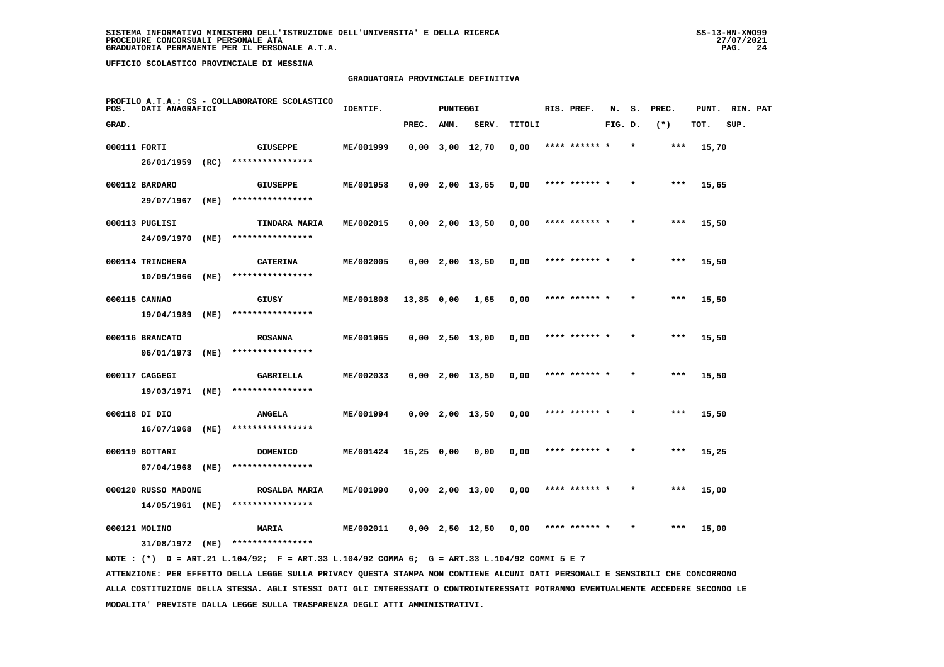#### **GRADUATORIA PROVINCIALE DEFINITIVA**

| POS.         | DATI ANAGRAFICI             |      | PROFILO A.T.A.: CS - COLLABORATORE SCOLASTICO | IDENTIF.  |            | <b>PUNTEGGI</b> |                       |        | RIS. PREF.    | N.      | s.      | PREC. | PUNT. | RIN. PAT |  |
|--------------|-----------------------------|------|-----------------------------------------------|-----------|------------|-----------------|-----------------------|--------|---------------|---------|---------|-------|-------|----------|--|
| GRAD.        |                             |      |                                               |           | PREC.      | AMM.            | SERV.                 | TITOLI |               | FIG. D. |         | $(*)$ | TOT.  | SUP.     |  |
| 000111 FORTI |                             |      | <b>GIUSEPPE</b>                               | ME/001999 |            |                 | $0,00$ $3,00$ $12,70$ | 0,00   | **** ****** * |         | $\star$ | $***$ | 15,70 |          |  |
|              | 26/01/1959 (RC)             |      | ****************                              |           |            |                 |                       |        |               |         |         |       |       |          |  |
|              | 000112 BARDARO              |      | <b>GIUSEPPE</b>                               | ME/001958 |            |                 | $0,00$ 2,00 13,65     | 0,00   | **** ****** * |         |         | $***$ | 15,65 |          |  |
|              | 29/07/1967                  | (ME) | ****************                              |           |            |                 |                       |        |               |         |         |       |       |          |  |
|              | 000113 PUGLISI              |      | <b>TINDARA MARIA</b>                          | ME/002015 |            |                 | $0,00$ 2,00 13,50     | 0,00   | **** ****** * |         |         | $***$ | 15,50 |          |  |
|              | 24/09/1970                  | (ME) | ****************                              |           |            |                 |                       |        |               |         |         |       |       |          |  |
|              | 000114 TRINCHERA            |      | <b>CATERINA</b>                               | ME/002005 |            |                 | $0,00$ 2,00 13,50     | 0,00   | **** ****** * |         |         | $***$ | 15,50 |          |  |
|              | 10/09/1966                  | (ME) | ****************                              |           |            |                 |                       |        |               |         |         |       |       |          |  |
|              | 000115 CANNAO               |      | GIUSY                                         | ME/001808 | 13,85 0,00 |                 | 1,65                  | 0,00   | **** ****** * |         |         | $***$ | 15,50 |          |  |
|              | 19/04/1989                  | (ME) | ****************                              |           |            |                 |                       |        |               |         |         |       |       |          |  |
|              | 000116 BRANCATO             |      | <b>ROSANNA</b>                                | ME/001965 |            |                 | $0,00$ 2,50 13,00     | 0,00   | **** ****** * |         |         | ***   | 15,50 |          |  |
|              | 06/01/1973                  | (ME) | ****************                              |           |            |                 |                       |        |               |         |         |       |       |          |  |
|              | 000117 CAGGEGI              |      | GABRIELLA                                     | ME/002033 |            |                 | $0,00$ 2,00 13,50     | 0,00   | **** ******   |         |         | ***   | 15,50 |          |  |
|              | 19/03/1971 (ME)             |      | ****************                              |           |            |                 |                       |        |               |         |         |       |       |          |  |
|              | 000118 DI DIO               |      | <b>ANGELA</b>                                 | ME/001994 |            |                 | $0,00$ 2,00 13,50     | 0,00   | **** ****** * |         |         | ***   | 15,50 |          |  |
|              | 16/07/1968                  | (ME) | ****************                              |           |            |                 |                       |        |               |         |         |       |       |          |  |
|              | 000119 BOTTARI              |      | <b>DOMENICO</b>                               | ME/001424 | 15,25 0,00 |                 | 0,00                  | 0,00   | **** ****** * |         | $\star$ | ***   | 15,25 |          |  |
|              | 07/04/1968                  | (ME) | ****************                              |           |            |                 |                       |        |               |         |         |       |       |          |  |
|              | 000120 RUSSO MADONE         |      | ROSALBA MARIA<br>****************             | ME/001990 |            |                 | $0,00$ 2,00 13,00     | 0,00   | **** ****** * |         |         | ***   | 15,00 |          |  |
|              | 14/05/1961 (ME)             |      |                                               |           |            |                 |                       |        |               |         |         |       |       |          |  |
|              | 000121 MOLINO<br>31/08/1972 | (ME) | MARIA<br>****************                     | ME/002011 |            |                 | $0,00$ 2,50 12,50     | 0.00   | **** ****** * |         |         | $***$ | 15,00 |          |  |
|              |                             |      |                                               |           |            |                 |                       |        |               |         |         |       |       |          |  |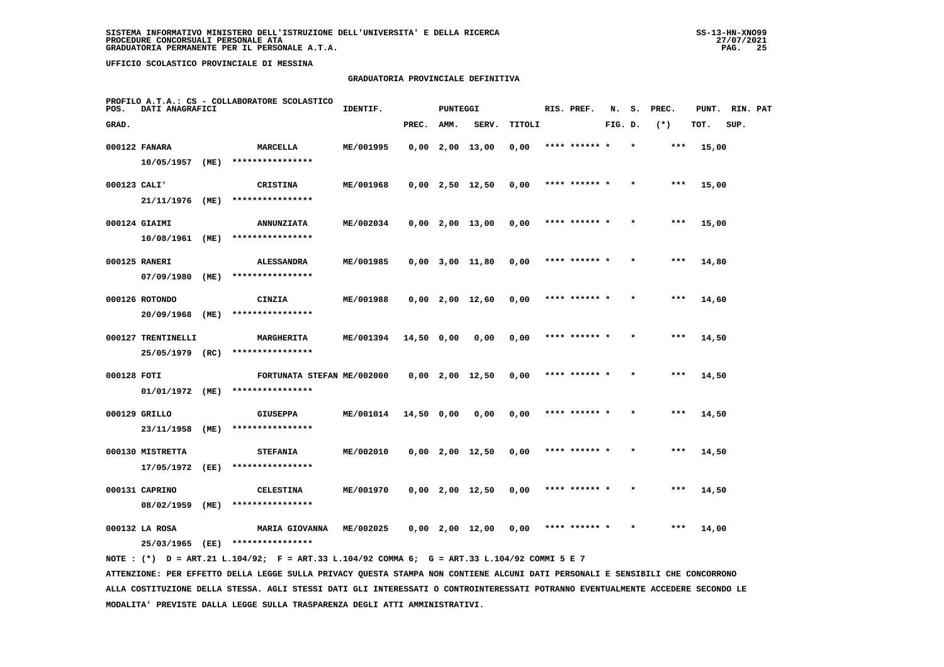#### **GRADUATORIA PROVINCIALE DEFINITIVA**

| POS.         | DATI ANAGRAFICI    |      | PROFILO A.T.A.: CS - COLLABORATORE SCOLASTICO                                               | IDENTIF.  |            | <b>PUNTEGGI</b> |                       |        | RIS. PREF.    | N.      | s.      | PREC. | PUNT. RIN. PAT |      |  |
|--------------|--------------------|------|---------------------------------------------------------------------------------------------|-----------|------------|-----------------|-----------------------|--------|---------------|---------|---------|-------|----------------|------|--|
| GRAD.        |                    |      |                                                                                             |           | PREC.      | AMM.            | SERV.                 | TITOLI |               | FIG. D. |         | $(*)$ | TOT.           | SUP. |  |
|              | 000122 FANARA      |      | MARCELLA                                                                                    | ME/001995 |            |                 | $0,00$ 2,00 13,00     | 0,00   | **** ****** * |         | $\star$ | ***   | 15,00          |      |  |
|              | 10/05/1957 (ME)    |      | ****************                                                                            |           |            |                 |                       |        |               |         |         |       |                |      |  |
| 000123 CALI' |                    |      | <b>CRISTINA</b>                                                                             | ME/001968 |            |                 | $0,00$ 2,50 12,50     | 0,00   | **** ****** * |         |         | $***$ | 15,00          |      |  |
|              | 21/11/1976 (ME)    |      | ****************                                                                            |           |            |                 |                       |        |               |         |         |       |                |      |  |
|              | 000124 GIAIMI      |      | <b>ANNUNZIATA</b>                                                                           | ME/002034 |            |                 | $0.00 \t2.00 \t13.00$ | 0,00   | **** ****** * |         |         | $***$ | 15,00          |      |  |
|              | 10/08/1961 (ME)    |      | ****************                                                                            |           |            |                 |                       |        |               |         |         |       |                |      |  |
|              | 000125 RANERI      |      | <b>ALESSANDRA</b>                                                                           | ME/001985 |            |                 | $0.00$ $3.00$ $11.80$ | 0,00   | **** ******   |         |         | ***   | 14,80          |      |  |
|              | 07/09/1980 (ME)    |      | ****************                                                                            |           |            |                 |                       |        |               |         |         |       |                |      |  |
|              | 000126 ROTONDO     |      | CINZIA                                                                                      | ME/001988 |            |                 | $0,00$ 2,00 12,60     | 0,00   | **** ****** * |         |         | ***   | 14,60          |      |  |
|              | 20/09/1968 (ME)    |      | ****************                                                                            |           |            |                 |                       |        |               |         |         |       |                |      |  |
|              | 000127 TRENTINELLI |      | MARGHERITA                                                                                  | ME/001394 | 14,50 0,00 |                 | 0,00                  | 0,00   | **** ****** * |         |         | ***   | 14,50          |      |  |
|              | 25/05/1979 (RC)    |      | ****************                                                                            |           |            |                 |                       |        |               |         |         |       |                |      |  |
| 000128 FOTI  |                    |      | FORTUNATA STEFAN ME/002000                                                                  |           |            |                 | $0,00$ 2,00 12,50     | 0,00   | **** ****** * |         |         | $***$ | 14,50          |      |  |
|              | 01/01/1972 (ME)    |      | ****************                                                                            |           |            |                 |                       |        |               |         |         |       |                |      |  |
|              | 000129 GRILLO      |      | GIUSEPPA                                                                                    | ME/001014 | 14,50 0,00 |                 | 0,00                  | 0,00   | **** ****** * |         |         | ***   | 14,50          |      |  |
|              | 23/11/1958         | (ME) | ****************                                                                            |           |            |                 |                       |        |               |         |         |       |                |      |  |
|              | 000130 MISTRETTA   |      | <b>STEFANIA</b>                                                                             | ME/002010 |            |                 | $0,00$ 2,00 12,50     | 0,00   | **** ****** * |         |         | ***   | 14,50          |      |  |
|              | 17/05/1972         | (EE) | ****************                                                                            |           |            |                 |                       |        |               |         |         |       |                |      |  |
|              | 000131 CAPRINO     |      | <b>CELESTINA</b>                                                                            | ME/001970 |            |                 | $0,00$ 2,00 12,50     | 0,00   | **** ****** * |         |         | ***   | 14,50          |      |  |
|              | 08/02/1959 (ME)    |      | ****************                                                                            |           |            |                 |                       |        |               |         |         |       |                |      |  |
|              | 000132 LA ROSA     |      | <b>MARIA GIOVANNA</b>                                                                       | ME/002025 |            |                 | 0,00 2,00 12,00       | 0,00   | **** ****** * |         |         | ***   | 14,00          |      |  |
|              |                    |      | 25/03/1965 (EE) ****************                                                            |           |            |                 |                       |        |               |         |         |       |                |      |  |
|              |                    |      | NOTE: (*) D = ART.21 L.104/92; F = ART.33 L.104/92 COMMA 6; G = ART.33 L.104/92 COMMI 5 E 7 |           |            |                 |                       |        |               |         |         |       |                |      |  |

 **ATTENZIONE: PER EFFETTO DELLA LEGGE SULLA PRIVACY QUESTA STAMPA NON CONTIENE ALCUNI DATI PERSONALI E SENSIBILI CHE CONCORRONO ALLA COSTITUZIONE DELLA STESSA. AGLI STESSI DATI GLI INTERESSATI O CONTROINTERESSATI POTRANNO EVENTUALMENTE ACCEDERE SECONDO LE MODALITA' PREVISTE DALLA LEGGE SULLA TRASPARENZA DEGLI ATTI AMMINISTRATIVI.**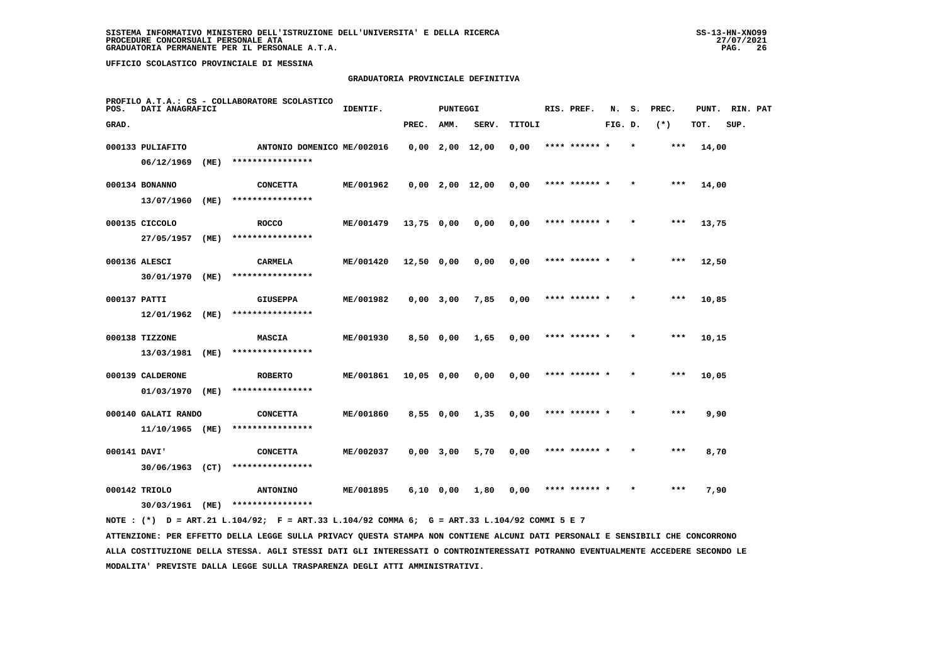## **GRADUATORIA PROVINCIALE DEFINITIVA**

| PROFILO A.T.A.: CS - COLLABORATORE SCOLASTICO<br>DATI ANAGRAFICI<br>POS. |                     |      | IDENTIF.<br><b>PUNTEGGI</b> |           |                   |      |                   | RIS. PREF. | N.            |         | S. PREC. | PUNT. | RIN. PAT |      |  |
|--------------------------------------------------------------------------|---------------------|------|-----------------------------|-----------|-------------------|------|-------------------|------------|---------------|---------|----------|-------|----------|------|--|
| GRAD.                                                                    |                     |      |                             |           | PREC.             | AMM. | SERV.             | TITOLI     |               | FIG. D. |          | $(*)$ | TOT.     | SUP. |  |
|                                                                          | 000133 PULIAFITO    |      | ANTONIO DOMENICO ME/002016  |           |                   |      | $0,00$ 2,00 12,00 | 0,00       | **** ****** * |         | $\star$  | $***$ | 14,00    |      |  |
|                                                                          | 06/12/1969          | (ME) | ****************            |           |                   |      |                   |            |               |         |          |       |          |      |  |
|                                                                          | 000134 BONANNO      |      | <b>CONCETTA</b>             | ME/001962 |                   |      | $0,00$ 2,00 12,00 | 0,00       | **** ****** * |         | $\star$  | ***   | 14,00    |      |  |
|                                                                          | 13/07/1960          | (ME) | ****************            |           |                   |      |                   |            |               |         |          |       |          |      |  |
|                                                                          | 000135 CICCOLO      |      | <b>ROCCO</b>                | ME/001479 | 13,75 0,00        |      | 0,00              | 0,00       | **** ****** * |         |          | ***   | 13,75    |      |  |
|                                                                          | 27/05/1957          | (ME) | ****************            |           |                   |      |                   |            |               |         |          |       |          |      |  |
|                                                                          | 000136 ALESCI       |      | CARMELA                     | ME/001420 | 12,50 0,00        |      | 0,00              | 0,00       | **** ****** * |         |          | ***   | 12,50    |      |  |
|                                                                          | 30/01/1970 (ME)     |      | ****************            |           |                   |      |                   |            |               |         |          |       |          |      |  |
| 000137 PATTI                                                             |                     |      | <b>GIUSEPPA</b>             | ME/001982 | $0,00$ 3,00       |      | 7,85              | 0,00       | **** ****** * |         |          | ***   | 10,85    |      |  |
|                                                                          | 12/01/1962          | (ME) | ****************            |           |                   |      |                   |            |               |         |          |       |          |      |  |
|                                                                          | 000138 TIZZONE      |      | <b>MASCIA</b>               | ME/001930 | $8,50$ 0,00       |      | 1,65              | 0,00       | **** ****** * |         |          | ***   | 10,15    |      |  |
|                                                                          | 13/03/1981          | (ME) | ****************            |           |                   |      |                   |            |               |         |          |       |          |      |  |
|                                                                          | 000139 CALDERONE    |      | <b>ROBERTO</b>              | ME/001861 | 10,05 0,00        |      | 0,00              | 0,00       | **** ****** * |         |          | ***   | 10,05    |      |  |
|                                                                          | 01/03/1970          | (ME) | ****************            |           |                   |      |                   |            |               |         |          |       |          |      |  |
|                                                                          | 000140 GALATI RANDO |      | <b>CONCETTA</b>             | ME/001860 | $8,55 \quad 0,00$ |      | 1,35              | 0,00       | **** ****** * |         |          | $***$ | 9,90     |      |  |
|                                                                          | 11/10/1965 (ME)     |      | ****************            |           |                   |      |                   |            |               |         |          |       |          |      |  |
| 000141 DAVI'                                                             |                     |      | <b>CONCETTA</b>             | ME/002037 | $0,00$ 3,00       |      | 5,70              | 0,00       | **** ****** * |         |          | $***$ | 8,70     |      |  |
|                                                                          | 30/06/1963 (CT)     |      | ****************            |           |                   |      |                   |            |               |         |          |       |          |      |  |
|                                                                          | 000142 TRIOLO       |      | <b>ANTONINO</b>             | ME/001895 | $6,10$ $0,00$     |      | 1,80              | 0,00       | **** ****** * |         |          | $***$ | 7,90     |      |  |
|                                                                          | 30/03/1961          | (ME) | ****************            |           |                   |      |                   |            |               |         |          |       |          |      |  |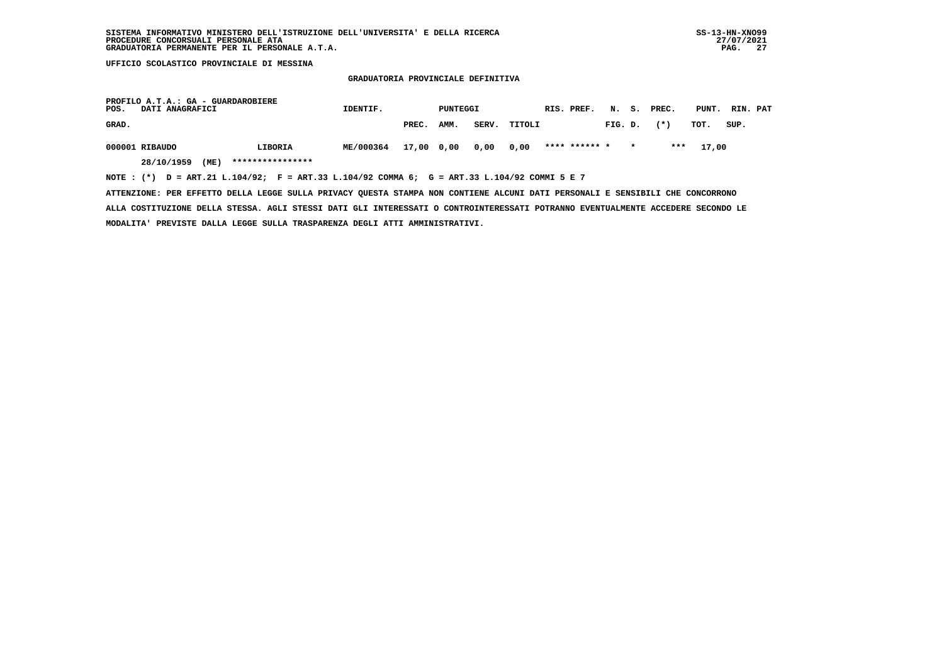### **GRADUATORIA PROVINCIALE DEFINITIVA**

| PROFILO A.T.A.: GA - GUARDAROBIERE<br>POS.<br>DATI ANAGRAFICI                                  |                    |                  | IDENTIF.  |            | PUNTEGGI |       |        |  | RIS. PREF.    |         |         | N. S. PREC. | PUNT. | RIN. PAT       |
|------------------------------------------------------------------------------------------------|--------------------|------------------|-----------|------------|----------|-------|--------|--|---------------|---------|---------|-------------|-------|----------------|
| GRAD.                                                                                          |                    |                  |           | PREC.      | AMM.     | SERV. | TITOLI |  |               | FIG. D. |         | $(* )$      | тот.  | $_{\tt SUP}$ . |
| 000001 RIBAUDO                                                                                 |                    | LIBORIA          | ME/000364 | 17,00 0,00 |          | 0,00  | 0,00   |  | **** ****** * |         | $\star$ | ***         | 17,00 |                |
|                                                                                                | 28/10/1959<br>(ME) | **************** |           |            |          |       |        |  |               |         |         |             |       |                |
| NOTE : $(*)$ D = ART.21 L.104/92; F = ART.33 L.104/92 COMMA 6; G = ART.33 L.104/92 COMMI 5 E 7 |                    |                  |           |            |          |       |        |  |               |         |         |             |       |                |

 **ATTENZIONE: PER EFFETTO DELLA LEGGE SULLA PRIVACY QUESTA STAMPA NON CONTIENE ALCUNI DATI PERSONALI E SENSIBILI CHE CONCORRONO**

 **ALLA COSTITUZIONE DELLA STESSA. AGLI STESSI DATI GLI INTERESSATI O CONTROINTERESSATI POTRANNO EVENTUALMENTE ACCEDERE SECONDO LE MODALITA' PREVISTE DALLA LEGGE SULLA TRASPARENZA DEGLI ATTI AMMINISTRATIVI.**